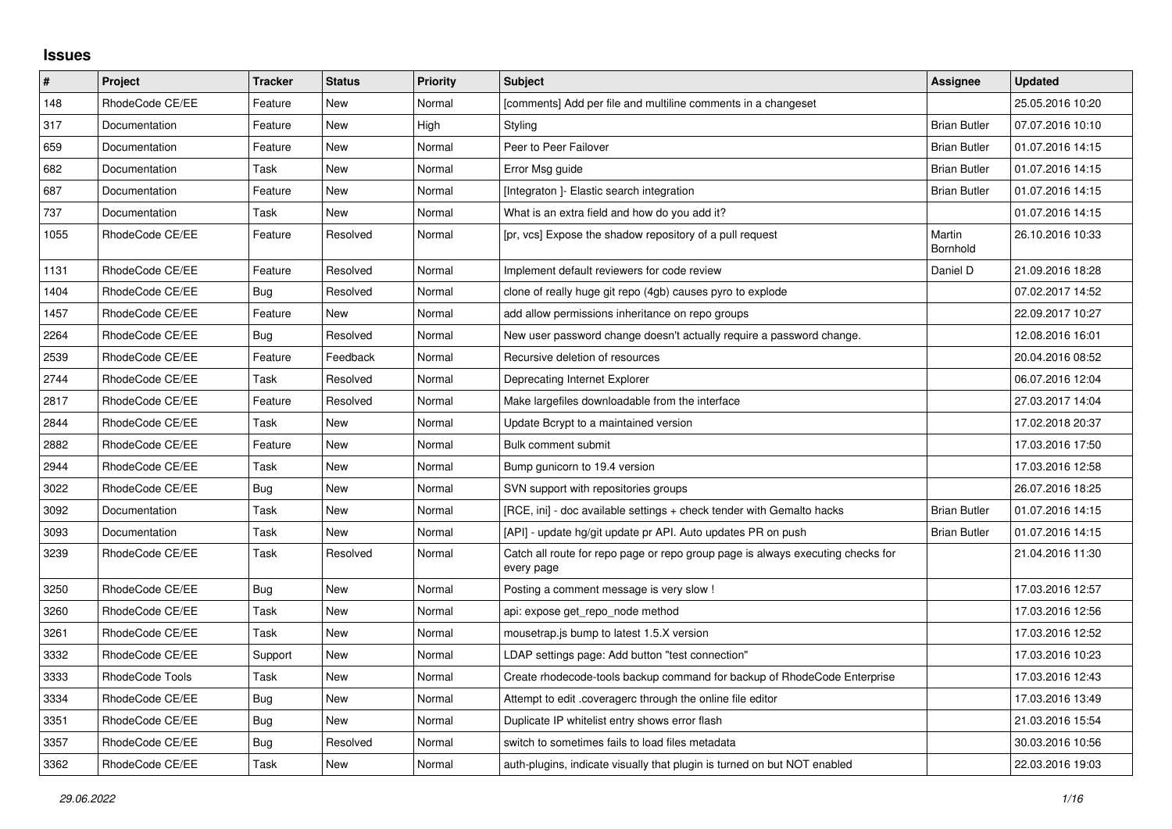## **Issues**

| $\vert$ # | Project         | Tracker    | <b>Status</b> | <b>Priority</b> | <b>Subject</b>                                                                                | Assignee            | <b>Updated</b>   |
|-----------|-----------------|------------|---------------|-----------------|-----------------------------------------------------------------------------------------------|---------------------|------------------|
| 148       | RhodeCode CE/EE | Feature    | New           | Normal          | [comments] Add per file and multiline comments in a changeset                                 |                     | 25.05.2016 10:20 |
| 317       | Documentation   | Feature    | <b>New</b>    | High            | Styling                                                                                       | <b>Brian Butler</b> | 07.07.2016 10:10 |
| 659       | Documentation   | Feature    | New           | Normal          | Peer to Peer Failover                                                                         | <b>Brian Butler</b> | 01.07.2016 14:15 |
| 682       | Documentation   | Task       | New           | Normal          | Error Msg guide                                                                               | <b>Brian Butler</b> | 01.07.2016 14:15 |
| 687       | Documentation   | Feature    | <b>New</b>    | Normal          | [Integraton] - Elastic search integration                                                     | <b>Brian Butler</b> | 01.07.2016 14:15 |
| 737       | Documentation   | Task       | New           | Normal          | What is an extra field and how do you add it?                                                 |                     | 01.07.2016 14:15 |
| 1055      | RhodeCode CE/EE | Feature    | Resolved      | Normal          | [pr, vcs] Expose the shadow repository of a pull request                                      | Martin<br>Bornhold  | 26.10.2016 10:33 |
| 1131      | RhodeCode CE/EE | Feature    | Resolved      | Normal          | Implement default reviewers for code review                                                   | Daniel D            | 21.09.2016 18:28 |
| 1404      | RhodeCode CE/EE | <b>Bug</b> | Resolved      | Normal          | clone of really huge git repo (4gb) causes pyro to explode                                    |                     | 07.02.2017 14:52 |
| 1457      | RhodeCode CE/EE | Feature    | New           | Normal          | add allow permissions inheritance on repo groups                                              |                     | 22.09.2017 10:27 |
| 2264      | RhodeCode CE/EE | Bug        | Resolved      | Normal          | New user password change doesn't actually require a password change.                          |                     | 12.08.2016 16:01 |
| 2539      | RhodeCode CE/EE | Feature    | Feedback      | Normal          | Recursive deletion of resources                                                               |                     | 20.04.2016 08:52 |
| 2744      | RhodeCode CE/EE | Task       | Resolved      | Normal          | Deprecating Internet Explorer                                                                 |                     | 06.07.2016 12:04 |
| 2817      | RhodeCode CE/EE | Feature    | Resolved      | Normal          | Make largefiles downloadable from the interface                                               |                     | 27.03.2017 14:04 |
| 2844      | RhodeCode CE/EE | Task       | <b>New</b>    | Normal          | Update Bcrypt to a maintained version                                                         |                     | 17.02.2018 20:37 |
| 2882      | RhodeCode CE/EE | Feature    | New           | Normal          | Bulk comment submit                                                                           |                     | 17.03.2016 17:50 |
| 2944      | RhodeCode CE/EE | Task       | New           | Normal          | Bump gunicorn to 19.4 version                                                                 |                     | 17.03.2016 12:58 |
| 3022      | RhodeCode CE/EE | <b>Bug</b> | <b>New</b>    | Normal          | SVN support with repositories groups                                                          |                     | 26.07.2016 18:25 |
| 3092      | Documentation   | Task       | New           | Normal          | [RCE, ini] - doc available settings + check tender with Gemalto hacks                         | <b>Brian Butler</b> | 01.07.2016 14:15 |
| 3093      | Documentation   | Task       | New           | Normal          | [API] - update hg/git update pr API. Auto updates PR on push                                  | <b>Brian Butler</b> | 01.07.2016 14:15 |
| 3239      | RhodeCode CE/EE | Task       | Resolved      | Normal          | Catch all route for repo page or repo group page is always executing checks for<br>every page |                     | 21.04.2016 11:30 |
| 3250      | RhodeCode CE/EE | <b>Bug</b> | New           | Normal          | Posting a comment message is very slow!                                                       |                     | 17.03.2016 12:57 |
| 3260      | RhodeCode CE/EE | Task       | New           | Normal          | api: expose get repo node method                                                              |                     | 17.03.2016 12:56 |
| 3261      | RhodeCode CE/EE | Task       | New           | Normal          | mousetrap.js bump to latest 1.5.X version                                                     |                     | 17.03.2016 12:52 |
| 3332      | RhodeCode CE/EE | Support    | New           | Normal          | LDAP settings page: Add button "test connection"                                              |                     | 17.03.2016 10:23 |
| 3333      | RhodeCode Tools | Task       | New           | Normal          | Create rhodecode-tools backup command for backup of RhodeCode Enterprise                      |                     | 17.03.2016 12:43 |
| 3334      | RhodeCode CE/EE | <b>Bug</b> | New           | Normal          | Attempt to edit .coveragerc through the online file editor                                    |                     | 17.03.2016 13:49 |
| 3351      | RhodeCode CE/EE | <b>Bug</b> | New           | Normal          | Duplicate IP whitelist entry shows error flash                                                |                     | 21.03.2016 15:54 |
| 3357      | RhodeCode CE/EE | <b>Bug</b> | Resolved      | Normal          | switch to sometimes fails to load files metadata                                              |                     | 30.03.2016 10:56 |
| 3362      | RhodeCode CE/EE | Task       | New           | Normal          | auth-plugins, indicate visually that plugin is turned on but NOT enabled                      |                     | 22.03.2016 19:03 |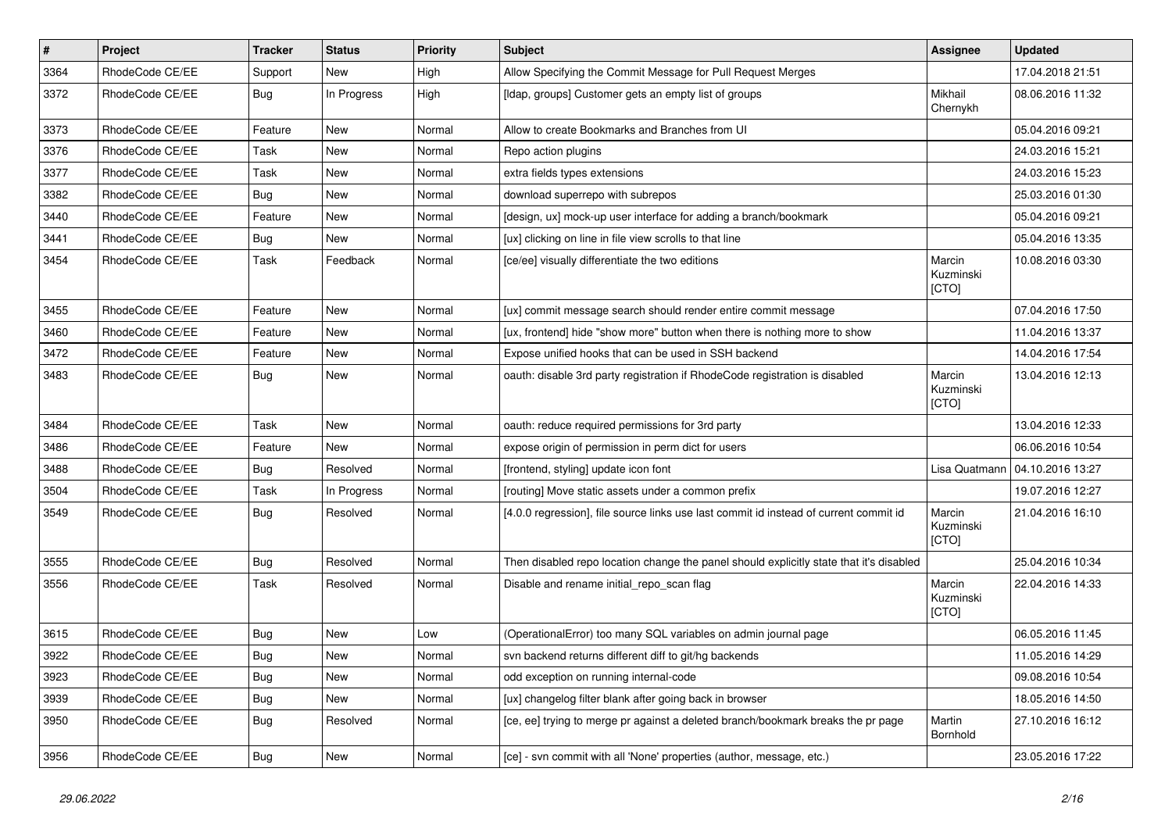| $\vert$ # | Project         | <b>Tracker</b> | <b>Status</b> | <b>Priority</b> | <b>Subject</b>                                                                          | Assignee                     | <b>Updated</b>   |
|-----------|-----------------|----------------|---------------|-----------------|-----------------------------------------------------------------------------------------|------------------------------|------------------|
| 3364      | RhodeCode CE/EE | Support        | New           | High            | Allow Specifying the Commit Message for Pull Request Merges                             |                              | 17.04.2018 21:51 |
| 3372      | RhodeCode CE/EE | Bug            | In Progress   | High            | [Idap, groups] Customer gets an empty list of groups                                    | Mikhail<br>Chernykh          | 08.06.2016 11:32 |
| 3373      | RhodeCode CE/EE | Feature        | <b>New</b>    | Normal          | Allow to create Bookmarks and Branches from UI                                          |                              | 05.04.2016 09:21 |
| 3376      | RhodeCode CE/EE | Task           | <b>New</b>    | Normal          | Repo action plugins                                                                     |                              | 24.03.2016 15:21 |
| 3377      | RhodeCode CE/EE | Task           | New           | Normal          | extra fields types extensions                                                           |                              | 24.03.2016 15:23 |
| 3382      | RhodeCode CE/EE | Bug            | New           | Normal          | download superrepo with subrepos                                                        |                              | 25.03.2016 01:30 |
| 3440      | RhodeCode CE/EE | Feature        | <b>New</b>    | Normal          | [design, ux] mock-up user interface for adding a branch/bookmark                        |                              | 05.04.2016 09:21 |
| 3441      | RhodeCode CE/EE | Bug            | New           | Normal          | [ux] clicking on line in file view scrolls to that line                                 |                              | 05.04.2016 13:35 |
| 3454      | RhodeCode CE/EE | Task           | Feedback      | Normal          | [ce/ee] visually differentiate the two editions                                         | Marcin<br>Kuzminski<br>[CTO] | 10.08.2016 03:30 |
| 3455      | RhodeCode CE/EE | Feature        | <b>New</b>    | Normal          | [ux] commit message search should render entire commit message                          |                              | 07.04.2016 17:50 |
| 3460      | RhodeCode CE/EE | Feature        | New           | Normal          | [ux, frontend] hide "show more" button when there is nothing more to show               |                              | 11.04.2016 13:37 |
| 3472      | RhodeCode CE/EE | Feature        | New           | Normal          | Expose unified hooks that can be used in SSH backend                                    |                              | 14.04.2016 17:54 |
| 3483      | RhodeCode CE/EE | Bug            | <b>New</b>    | Normal          | oauth: disable 3rd party registration if RhodeCode registration is disabled             | Marcin<br>Kuzminski<br>[CTO] | 13.04.2016 12:13 |
| 3484      | RhodeCode CE/EE | Task           | <b>New</b>    | Normal          | oauth: reduce required permissions for 3rd party                                        |                              | 13.04.2016 12:33 |
| 3486      | RhodeCode CE/EE | Feature        | <b>New</b>    | Normal          | expose origin of permission in perm dict for users                                      |                              | 06.06.2016 10:54 |
| 3488      | RhodeCode CE/EE | Bug            | Resolved      | Normal          | [frontend, styling] update icon font                                                    | Lisa Quatmann                | 04.10.2016 13:27 |
| 3504      | RhodeCode CE/EE | Task           | In Progress   | Normal          | [routing] Move static assets under a common prefix                                      |                              | 19.07.2016 12:27 |
| 3549      | RhodeCode CE/EE | Bug            | Resolved      | Normal          | [4.0.0 regression], file source links use last commit id instead of current commit id   | Marcin<br>Kuzminski<br>[CTO] | 21.04.2016 16:10 |
| 3555      | RhodeCode CE/EE | Bug            | Resolved      | Normal          | Then disabled repo location change the panel should explicitly state that it's disabled |                              | 25.04.2016 10:34 |
| 3556      | RhodeCode CE/EE | Task           | Resolved      | Normal          | Disable and rename initial_repo_scan flag                                               | Marcin<br>Kuzminski<br>[CTO] | 22.04.2016 14:33 |
| 3615      | RhodeCode CE/EE | Bug            | New           | Low             | (OperationalError) too many SQL variables on admin journal page                         |                              | 06.05.2016 11:45 |
| 3922      | RhodeCode CE/EE | Bug            | New           | Normal          | svn backend returns different diff to git/hg backends                                   |                              | 11.05.2016 14:29 |
| 3923      | RhodeCode CE/EE | Bug            | New           | Normal          | odd exception on running internal-code                                                  |                              | 09.08.2016 10:54 |
| 3939      | RhodeCode CE/EE | <b>Bug</b>     | New           | Normal          | [ux] changelog filter blank after going back in browser                                 |                              | 18.05.2016 14:50 |
| 3950      | RhodeCode CE/EE | Bug            | Resolved      | Normal          | [ce, ee] trying to merge pr against a deleted branch/bookmark breaks the pr page        | Martin<br>Bornhold           | 27.10.2016 16:12 |
| 3956      | RhodeCode CE/EE | Bug            | New           | Normal          | [ce] - svn commit with all 'None' properties (author, message, etc.)                    |                              | 23.05.2016 17:22 |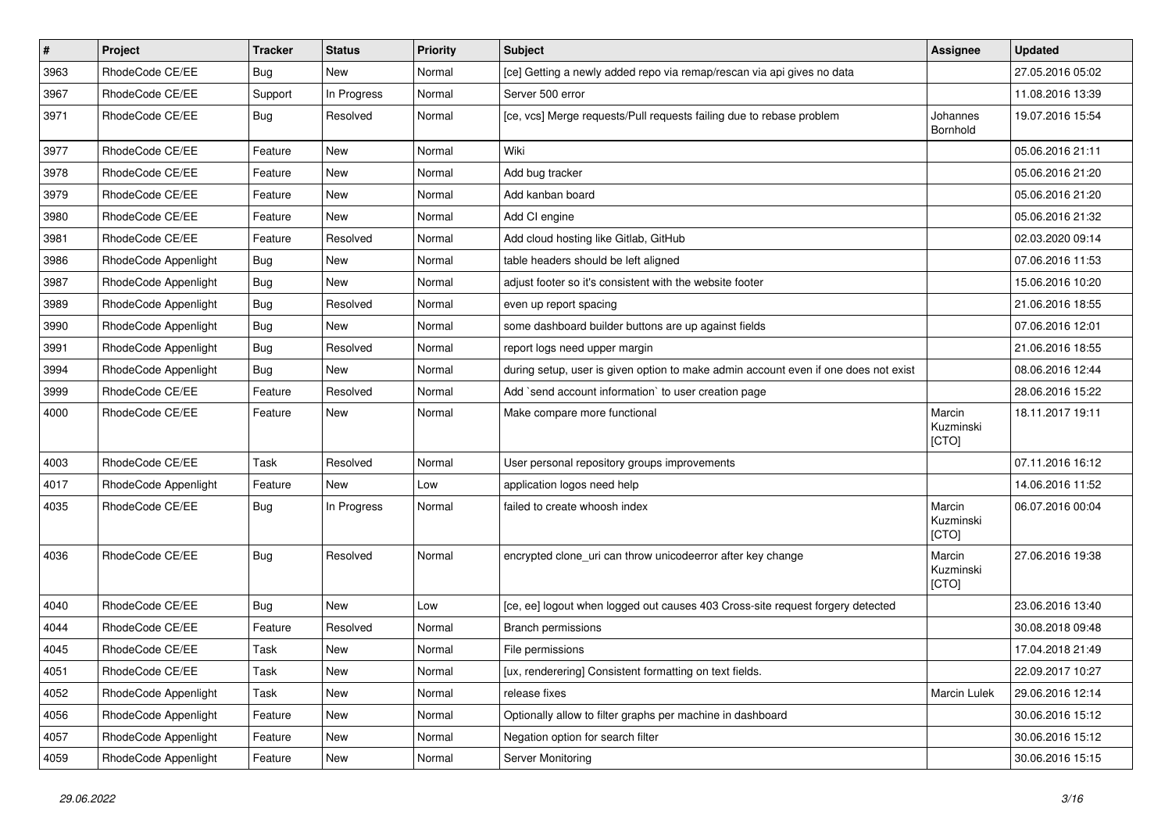| $\pmb{\#}$ | Project              | <b>Tracker</b> | <b>Status</b> | <b>Priority</b> | <b>Subject</b>                                                                      | <b>Assignee</b>              | <b>Updated</b>   |
|------------|----------------------|----------------|---------------|-----------------|-------------------------------------------------------------------------------------|------------------------------|------------------|
| 3963       | RhodeCode CE/EE      | <b>Bug</b>     | New           | Normal          | [ce] Getting a newly added repo via remap/rescan via api gives no data              |                              | 27.05.2016 05:02 |
| 3967       | RhodeCode CE/EE      | Support        | In Progress   | Normal          | Server 500 error                                                                    |                              | 11.08.2016 13:39 |
| 3971       | RhodeCode CE/EE      | Bug            | Resolved      | Normal          | [ce, vcs] Merge requests/Pull requests failing due to rebase problem                | Johannes<br>Bornhold         | 19.07.2016 15:54 |
| 3977       | RhodeCode CE/EE      | Feature        | <b>New</b>    | Normal          | Wiki                                                                                |                              | 05.06.2016 21:11 |
| 3978       | RhodeCode CE/EE      | Feature        | New           | Normal          | Add bug tracker                                                                     |                              | 05.06.2016 21:20 |
| 3979       | RhodeCode CE/EE      | Feature        | New           | Normal          | Add kanban board                                                                    |                              | 05.06.2016 21:20 |
| 3980       | RhodeCode CE/EE      | Feature        | <b>New</b>    | Normal          | Add CI engine                                                                       |                              | 05.06.2016 21:32 |
| 3981       | RhodeCode CE/EE      | Feature        | Resolved      | Normal          | Add cloud hosting like Gitlab, GitHub                                               |                              | 02.03.2020 09:14 |
| 3986       | RhodeCode Appenlight | Bug            | <b>New</b>    | Normal          | table headers should be left aligned                                                |                              | 07.06.2016 11:53 |
| 3987       | RhodeCode Appenlight | Bug            | New           | Normal          | adjust footer so it's consistent with the website footer                            |                              | 15.06.2016 10:20 |
| 3989       | RhodeCode Appenlight | Bug            | Resolved      | Normal          | even up report spacing                                                              |                              | 21.06.2016 18:55 |
| 3990       | RhodeCode Appenlight | <b>Bug</b>     | <b>New</b>    | Normal          | some dashboard builder buttons are up against fields                                |                              | 07.06.2016 12:01 |
| 3991       | RhodeCode Appenlight | <b>Bug</b>     | Resolved      | Normal          | report logs need upper margin                                                       |                              | 21.06.2016 18:55 |
| 3994       | RhodeCode Appenlight | Bug            | <b>New</b>    | Normal          | during setup, user is given option to make admin account even if one does not exist |                              | 08.06.2016 12:44 |
| 3999       | RhodeCode CE/EE      | Feature        | Resolved      | Normal          | Add `send account information` to user creation page                                |                              | 28.06.2016 15:22 |
| 4000       | RhodeCode CE/EE      | Feature        | New           | Normal          | Make compare more functional                                                        | Marcin<br>Kuzminski<br>[CTO] | 18.11.2017 19:11 |
| 4003       | RhodeCode CE/EE      | Task           | Resolved      | Normal          | User personal repository groups improvements                                        |                              | 07.11.2016 16:12 |
| 4017       | RhodeCode Appenlight | Feature        | <b>New</b>    | Low             | application logos need help                                                         |                              | 14.06.2016 11:52 |
| 4035       | RhodeCode CE/EE      | Bug            | In Progress   | Normal          | failed to create whoosh index                                                       | Marcin<br>Kuzminski<br>[CTO] | 06.07.2016 00:04 |
| 4036       | RhodeCode CE/EE      | Bug            | Resolved      | Normal          | encrypted clone_uri can throw unicodeerror after key change                         | Marcin<br>Kuzminski<br>[CTO] | 27.06.2016 19:38 |
| 4040       | RhodeCode CE/EE      | Bug            | <b>New</b>    | Low             | [ce, ee] logout when logged out causes 403 Cross-site request forgery detected      |                              | 23.06.2016 13:40 |
| 4044       | RhodeCode CE/EE      | Feature        | Resolved      | Normal          | <b>Branch permissions</b>                                                           |                              | 30.08.2018 09:48 |
| 4045       | RhodeCode CE/EE      | Task           | New           | Normal          | File permissions                                                                    |                              | 17.04.2018 21:49 |
| 4051       | RhodeCode CE/EE      | Task           | New           | Normal          | [ux, renderering] Consistent formatting on text fields.                             |                              | 22.09.2017 10:27 |
| 4052       | RhodeCode Appenlight | Task           | New           | Normal          | release fixes                                                                       | Marcin Lulek                 | 29.06.2016 12:14 |
| 4056       | RhodeCode Appenlight | Feature        | New           | Normal          | Optionally allow to filter graphs per machine in dashboard                          |                              | 30.06.2016 15:12 |
| 4057       | RhodeCode Appenlight | Feature        | New           | Normal          | Negation option for search filter                                                   |                              | 30.06.2016 15:12 |
| 4059       | RhodeCode Appenlight | Feature        | New           | Normal          | Server Monitoring                                                                   |                              | 30.06.2016 15:15 |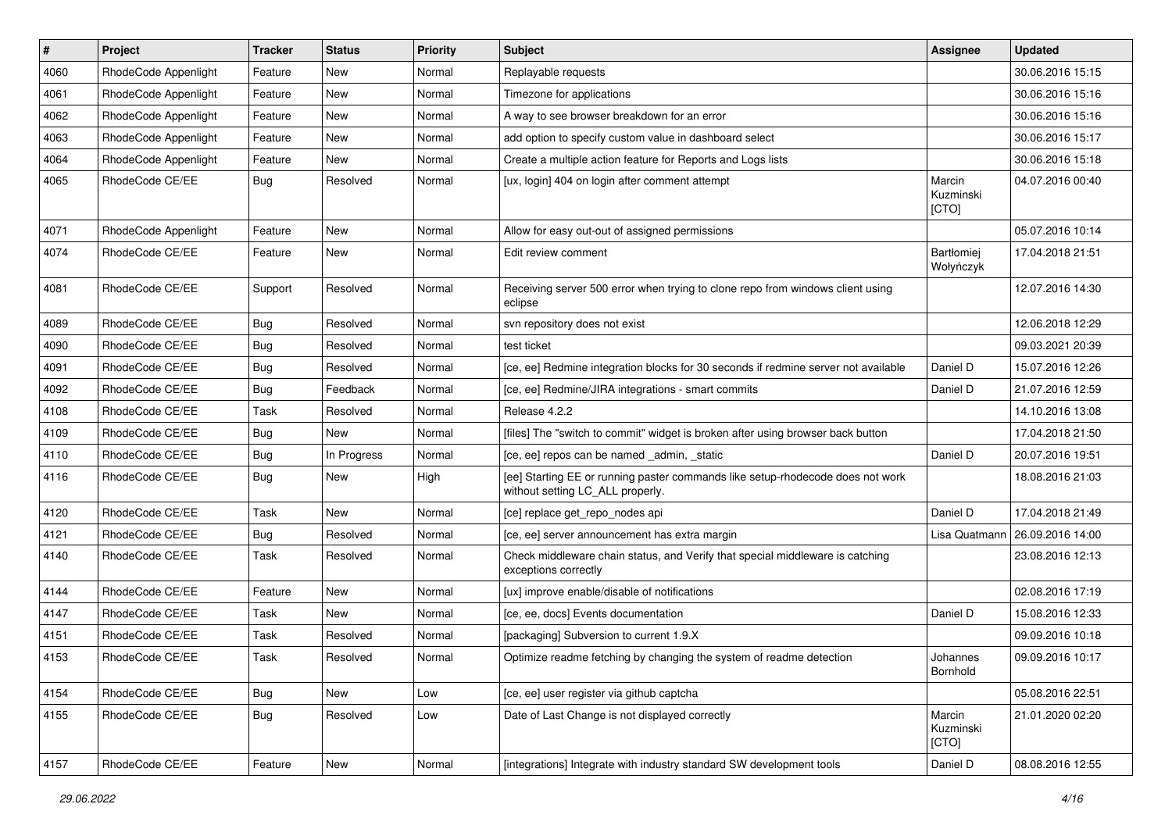| $\vert$ # | Project              | <b>Tracker</b> | <b>Status</b> | <b>Priority</b> | <b>Subject</b>                                                                                                     | <b>Assignee</b>                | <b>Updated</b>   |
|-----------|----------------------|----------------|---------------|-----------------|--------------------------------------------------------------------------------------------------------------------|--------------------------------|------------------|
| 4060      | RhodeCode Appenlight | Feature        | New           | Normal          | Replayable requests                                                                                                |                                | 30.06.2016 15:15 |
| 4061      | RhodeCode Appenlight | Feature        | <b>New</b>    | Normal          | Timezone for applications                                                                                          |                                | 30.06.2016 15:16 |
| 4062      | RhodeCode Appenlight | Feature        | New           | Normal          | A way to see browser breakdown for an error                                                                        |                                | 30.06.2016 15:16 |
| 4063      | RhodeCode Appenlight | Feature        | New           | Normal          | add option to specify custom value in dashboard select                                                             |                                | 30.06.2016 15:17 |
| 4064      | RhodeCode Appenlight | Feature        | New           | Normal          | Create a multiple action feature for Reports and Logs lists                                                        |                                | 30.06.2016 15:18 |
| 4065      | RhodeCode CE/EE      | Bug            | Resolved      | Normal          | [ux, login] 404 on login after comment attempt                                                                     | Marcin<br>Kuzminski<br>[CTO]   | 04.07.2016 00:40 |
| 4071      | RhodeCode Appenlight | Feature        | New           | Normal          | Allow for easy out-out of assigned permissions                                                                     |                                | 05.07.2016 10:14 |
| 4074      | RhodeCode CE/EE      | Feature        | New           | Normal          | Edit review comment                                                                                                | <b>Bartłomiei</b><br>Wołyńczyk | 17.04.2018 21:51 |
| 4081      | RhodeCode CE/EE      | Support        | Resolved      | Normal          | Receiving server 500 error when trying to clone repo from windows client using<br>eclipse                          |                                | 12.07.2016 14:30 |
| 4089      | RhodeCode CE/EE      | Bug            | Resolved      | Normal          | syn repository does not exist                                                                                      |                                | 12.06.2018 12:29 |
| 4090      | RhodeCode CE/EE      | <b>Bug</b>     | Resolved      | Normal          | test ticket                                                                                                        |                                | 09.03.2021 20:39 |
| 4091      | RhodeCode CE/EE      | Bug            | Resolved      | Normal          | [ce, ee] Redmine integration blocks for 30 seconds if redmine server not available                                 | Daniel D                       | 15.07.2016 12:26 |
| 4092      | RhodeCode CE/EE      | <b>Bug</b>     | Feedback      | Normal          | [ce, ee] Redmine/JIRA integrations - smart commits                                                                 | Daniel D                       | 21.07.2016 12:59 |
| 4108      | RhodeCode CE/EE      | Task           | Resolved      | Normal          | Release 4.2.2                                                                                                      |                                | 14.10.2016 13:08 |
| 4109      | RhodeCode CE/EE      | Bug            | New           | Normal          | [files] The "switch to commit" widget is broken after using browser back button                                    |                                | 17.04.2018 21:50 |
| 4110      | RhodeCode CE/EE      | Bug            | In Progress   | Normal          | [ce, ee] repos can be named _admin, _static                                                                        | Daniel D                       | 20.07.2016 19:51 |
| 4116      | RhodeCode CE/EE      | <b>Bug</b>     | New           | High            | [ee] Starting EE or running paster commands like setup-rhodecode does not work<br>without setting LC_ALL properly. |                                | 18.08.2016 21:03 |
| 4120      | RhodeCode CE/EE      | Task           | New           | Normal          | [ce] replace get_repo_nodes api                                                                                    | Daniel D                       | 17.04.2018 21:49 |
| 4121      | RhodeCode CE/EE      | Bug            | Resolved      | Normal          | [ce, ee] server announcement has extra margin                                                                      | Lisa Quatmann                  | 26.09.2016 14:00 |
| 4140      | RhodeCode CE/EE      | Task           | Resolved      | Normal          | Check middleware chain status, and Verify that special middleware is catching<br>exceptions correctly              |                                | 23.08.2016 12:13 |
| 4144      | RhodeCode CE/EE      | Feature        | New           | Normal          | [ux] improve enable/disable of notifications                                                                       |                                | 02.08.2016 17:19 |
| 4147      | RhodeCode CE/EE      | Task           | New           | Normal          | [ce, ee, docs] Events documentation                                                                                | Daniel D                       | 15.08.2016 12:33 |
| 4151      | RhodeCode CE/EE      | Task           | Resolved      | Normal          | [packaging] Subversion to current 1.9.X                                                                            |                                | 09.09.2016 10:18 |
| 4153      | RhodeCode CE/EE      | Task           | Resolved      | Normal          | Optimize readme fetching by changing the system of readme detection                                                | Johannes<br>Bornhold           | 09.09.2016 10:17 |
| 4154      | RhodeCode CE/EE      | <b>Bug</b>     | New           | Low             | [ce, ee] user register via github captcha                                                                          |                                | 05.08.2016 22:51 |
| 4155      | RhodeCode CE/EE      | Bug            | Resolved      | Low             | Date of Last Change is not displayed correctly                                                                     | Marcin<br>Kuzminski<br>[CTO]   | 21.01.2020 02:20 |
| 4157      | RhodeCode CE/EE      | Feature        | <b>New</b>    | Normal          | [integrations] Integrate with industry standard SW development tools                                               | Daniel D                       | 08.08.2016 12:55 |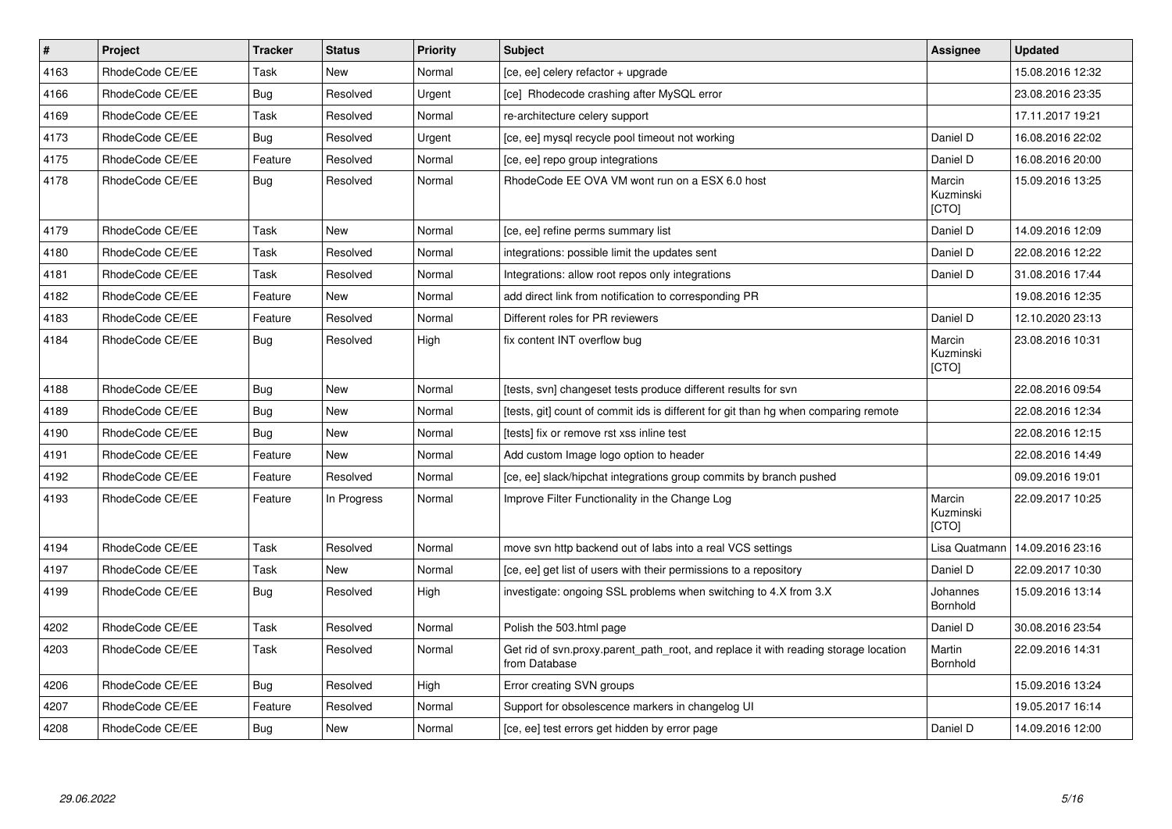| $\vert$ # | Project         | <b>Tracker</b> | <b>Status</b> | <b>Priority</b> | <b>Subject</b>                                                                                       | Assignee                     | <b>Updated</b>   |
|-----------|-----------------|----------------|---------------|-----------------|------------------------------------------------------------------------------------------------------|------------------------------|------------------|
| 4163      | RhodeCode CE/EE | Task           | <b>New</b>    | Normal          | [ce, ee] celery refactor + upgrade                                                                   |                              | 15.08.2016 12:32 |
| 4166      | RhodeCode CE/EE | Bug            | Resolved      | Urgent          | [ce] Rhodecode crashing after MySQL error                                                            |                              | 23.08.2016 23:35 |
| 4169      | RhodeCode CE/EE | Task           | Resolved      | Normal          | re-architecture celery support                                                                       |                              | 17.11.2017 19:21 |
| 4173      | RhodeCode CE/EE | <b>Bug</b>     | Resolved      | Urgent          | [ce, ee] mysql recycle pool timeout not working                                                      | Daniel D                     | 16.08.2016 22:02 |
| 4175      | RhodeCode CE/EE | Feature        | Resolved      | Normal          | [ce, ee] repo group integrations                                                                     | Daniel D                     | 16.08.2016 20:00 |
| 4178      | RhodeCode CE/EE | Bug            | Resolved      | Normal          | RhodeCode EE OVA VM wont run on a ESX 6.0 host                                                       | Marcin<br>Kuzminski<br>[CTO] | 15.09.2016 13:25 |
| 4179      | RhodeCode CE/EE | Task           | New           | Normal          | [ce, ee] refine perms summary list                                                                   | Daniel D                     | 14.09.2016 12:09 |
| 4180      | RhodeCode CE/EE | Task           | Resolved      | Normal          | integrations: possible limit the updates sent                                                        | Daniel D                     | 22.08.2016 12:22 |
| 4181      | RhodeCode CE/EE | Task           | Resolved      | Normal          | Integrations: allow root repos only integrations                                                     | Daniel D                     | 31.08.2016 17:44 |
| 4182      | RhodeCode CE/EE | Feature        | <b>New</b>    | Normal          | add direct link from notification to corresponding PR                                                |                              | 19.08.2016 12:35 |
| 4183      | RhodeCode CE/EE | Feature        | Resolved      | Normal          | Different roles for PR reviewers                                                                     | Daniel D                     | 12.10.2020 23:13 |
| 4184      | RhodeCode CE/EE | Bug            | Resolved      | High            | fix content INT overflow bug                                                                         | Marcin<br>Kuzminski<br>[CTO] | 23.08.2016 10:31 |
| 4188      | RhodeCode CE/EE | Bug            | <b>New</b>    | Normal          | [tests, svn] changeset tests produce different results for svn                                       |                              | 22.08.2016 09:54 |
| 4189      | RhodeCode CE/EE | <b>Bug</b>     | <b>New</b>    | Normal          | [tests, git] count of commit ids is different for git than hg when comparing remote                  |                              | 22.08.2016 12:34 |
| 4190      | RhodeCode CE/EE | <b>Bug</b>     | New           | Normal          | [tests] fix or remove rst xss inline test                                                            |                              | 22.08.2016 12:15 |
| 4191      | RhodeCode CE/EE | Feature        | <b>New</b>    | Normal          | Add custom Image logo option to header                                                               |                              | 22.08.2016 14:49 |
| 4192      | RhodeCode CE/EE | Feature        | Resolved      | Normal          | [ce, ee] slack/hipchat integrations group commits by branch pushed                                   |                              | 09.09.2016 19:01 |
| 4193      | RhodeCode CE/EE | Feature        | In Progress   | Normal          | Improve Filter Functionality in the Change Log                                                       | Marcin<br>Kuzminski<br>[CTO] | 22.09.2017 10:25 |
| 4194      | RhodeCode CE/EE | Task           | Resolved      | Normal          | move svn http backend out of labs into a real VCS settings                                           | Lisa Quatmann                | 14.09.2016 23:16 |
| 4197      | RhodeCode CE/EE | Task           | <b>New</b>    | Normal          | [ce, ee] get list of users with their permissions to a repository                                    | Daniel D                     | 22.09.2017 10:30 |
| 4199      | RhodeCode CE/EE | <b>Bug</b>     | Resolved      | High            | investigate: ongoing SSL problems when switching to 4.X from 3.X                                     | Johannes<br>Bornhold         | 15.09.2016 13:14 |
| 4202      | RhodeCode CE/EE | Task           | Resolved      | Normal          | Polish the 503.html page                                                                             | Daniel D                     | 30.08.2016 23:54 |
| 4203      | RhodeCode CE/EE | Task           | Resolved      | Normal          | Get rid of svn.proxy.parent_path_root, and replace it with reading storage location<br>from Database | Martin<br>Bornhold           | 22.09.2016 14:31 |
| 4206      | RhodeCode CE/EE | Bug            | Resolved      | High            | Error creating SVN groups                                                                            |                              | 15.09.2016 13:24 |
| 4207      | RhodeCode CE/EE | Feature        | Resolved      | Normal          | Support for obsolescence markers in changelog UI                                                     |                              | 19.05.2017 16:14 |
| 4208      | RhodeCode CE/EE | <b>Bug</b>     | New           | Normal          | [ce, ee] test errors get hidden by error page                                                        | Daniel D                     | 14.09.2016 12:00 |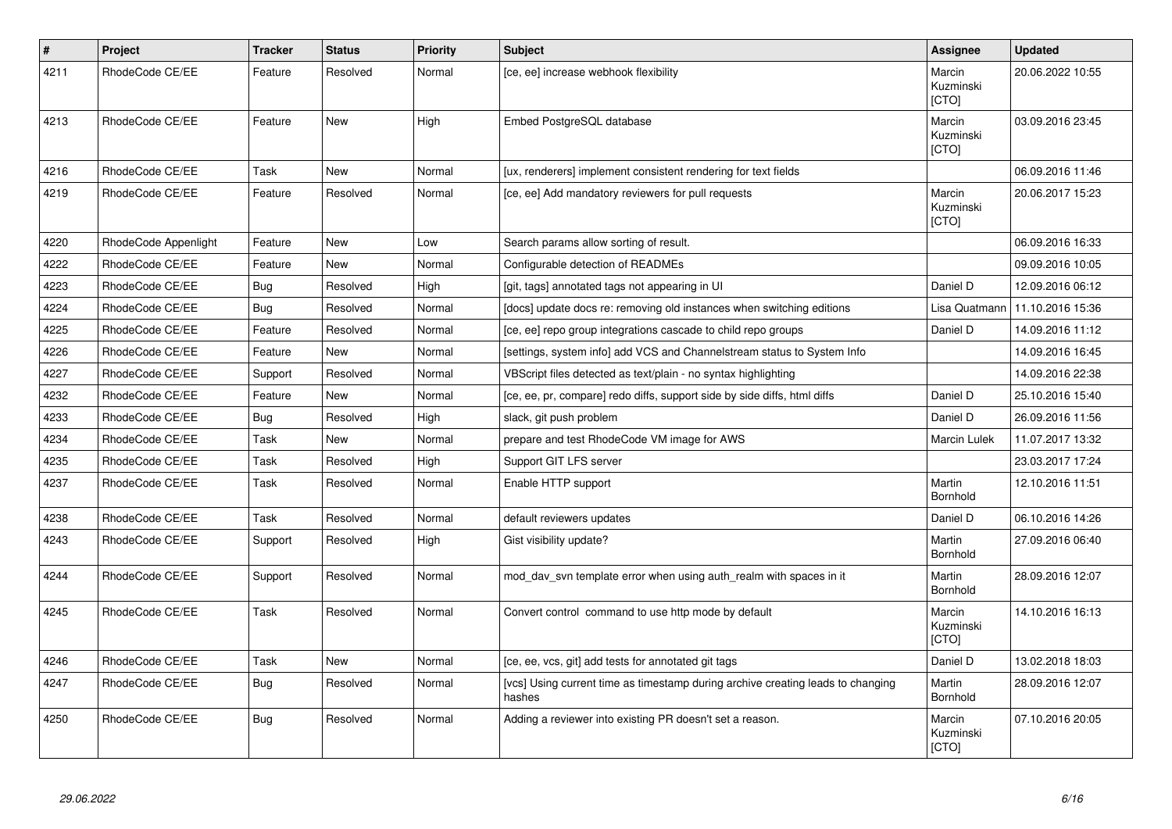| $\sharp$ | Project              | <b>Tracker</b> | <b>Status</b> | <b>Priority</b> | Subject                                                                                   | Assignee                            | <b>Updated</b>   |
|----------|----------------------|----------------|---------------|-----------------|-------------------------------------------------------------------------------------------|-------------------------------------|------------------|
| 4211     | RhodeCode CE/EE      | Feature        | Resolved      | Normal          | [ce, ee] increase webhook flexibility                                                     | Marcin<br>Kuzminski<br><b>[CTO]</b> | 20.06.2022 10:55 |
| 4213     | RhodeCode CE/EE      | Feature        | <b>New</b>    | High            | Embed PostgreSQL database                                                                 | Marcin<br>Kuzminski<br>[CTO]        | 03.09.2016 23:45 |
| 4216     | RhodeCode CE/EE      | Task           | <b>New</b>    | Normal          | [ux, renderers] implement consistent rendering for text fields                            |                                     | 06.09.2016 11:46 |
| 4219     | RhodeCode CE/EE      | Feature        | Resolved      | Normal          | [ce, ee] Add mandatory reviewers for pull requests                                        | Marcin<br>Kuzminski<br>[CTO]        | 20.06.2017 15:23 |
| 4220     | RhodeCode Appenlight | Feature        | <b>New</b>    | Low             | Search params allow sorting of result.                                                    |                                     | 06.09.2016 16:33 |
| 4222     | RhodeCode CE/EE      | Feature        | <b>New</b>    | Normal          | Configurable detection of READMEs                                                         |                                     | 09.09.2016 10:05 |
| 4223     | RhodeCode CE/EE      | Bug            | Resolved      | High            | [git, tags] annotated tags not appearing in UI                                            | Daniel D                            | 12.09.2016 06:12 |
| 4224     | RhodeCode CE/EE      | <b>Bug</b>     | Resolved      | Normal          | [docs] update docs re: removing old instances when switching editions                     | Lisa Quatmann                       | 11.10.2016 15:36 |
| 4225     | RhodeCode CE/EE      | Feature        | Resolved      | Normal          | [ce, ee] repo group integrations cascade to child repo groups                             | Daniel D                            | 14.09.2016 11:12 |
| 4226     | RhodeCode CE/EE      | Feature        | <b>New</b>    | Normal          | [settings, system info] add VCS and Channelstream status to System Info                   |                                     | 14.09.2016 16:45 |
| 4227     | RhodeCode CE/EE      | Support        | Resolved      | Normal          | VBScript files detected as text/plain - no syntax highlighting                            |                                     | 14.09.2016 22:38 |
| 4232     | RhodeCode CE/EE      | Feature        | <b>New</b>    | Normal          | [ce, ee, pr, compare] redo diffs, support side by side diffs, html diffs                  | Daniel D                            | 25.10.2016 15:40 |
| 4233     | RhodeCode CE/EE      | Bug            | Resolved      | High            | slack, git push problem                                                                   | Daniel D                            | 26.09.2016 11:56 |
| 4234     | RhodeCode CE/EE      | Task           | <b>New</b>    | Normal          | prepare and test RhodeCode VM image for AWS                                               | Marcin Lulek                        | 11.07.2017 13:32 |
| 4235     | RhodeCode CE/EE      | Task           | Resolved      | High            | Support GIT LFS server                                                                    |                                     | 23.03.2017 17:24 |
| 4237     | RhodeCode CE/EE      | Task           | Resolved      | Normal          | Enable HTTP support                                                                       | Martin<br>Bornhold                  | 12.10.2016 11:51 |
| 4238     | RhodeCode CE/EE      | Task           | Resolved      | Normal          | default reviewers updates                                                                 | Daniel D                            | 06.10.2016 14:26 |
| 4243     | RhodeCode CE/EE      | Support        | Resolved      | High            | Gist visibility update?                                                                   | Martin<br>Bornhold                  | 27.09.2016 06:40 |
| 4244     | RhodeCode CE/EE      | Support        | Resolved      | Normal          | mod day syn template error when using auth realm with spaces in it                        | Martin<br>Bornhold                  | 28.09.2016 12:07 |
| 4245     | RhodeCode CE/EE      | Task           | Resolved      | Normal          | Convert control command to use http mode by default                                       | Marcin<br>Kuzminski<br>[CTO]        | 14.10.2016 16:13 |
| 4246     | RhodeCode CE/EE      | Task           | New           | Normal          | [ce, ee, vcs, git] add tests for annotated git tags                                       | Daniel D                            | 13.02.2018 18:03 |
| 4247     | RhodeCode CE/EE      | <b>Bug</b>     | Resolved      | Normal          | [vcs] Using current time as timestamp during archive creating leads to changing<br>hashes | Martin<br>Bornhold                  | 28.09.2016 12:07 |
| 4250     | RhodeCode CE/EE      | <b>Bug</b>     | Resolved      | Normal          | Adding a reviewer into existing PR doesn't set a reason.                                  | Marcin<br>Kuzminski<br>[CTO]        | 07.10.2016 20:05 |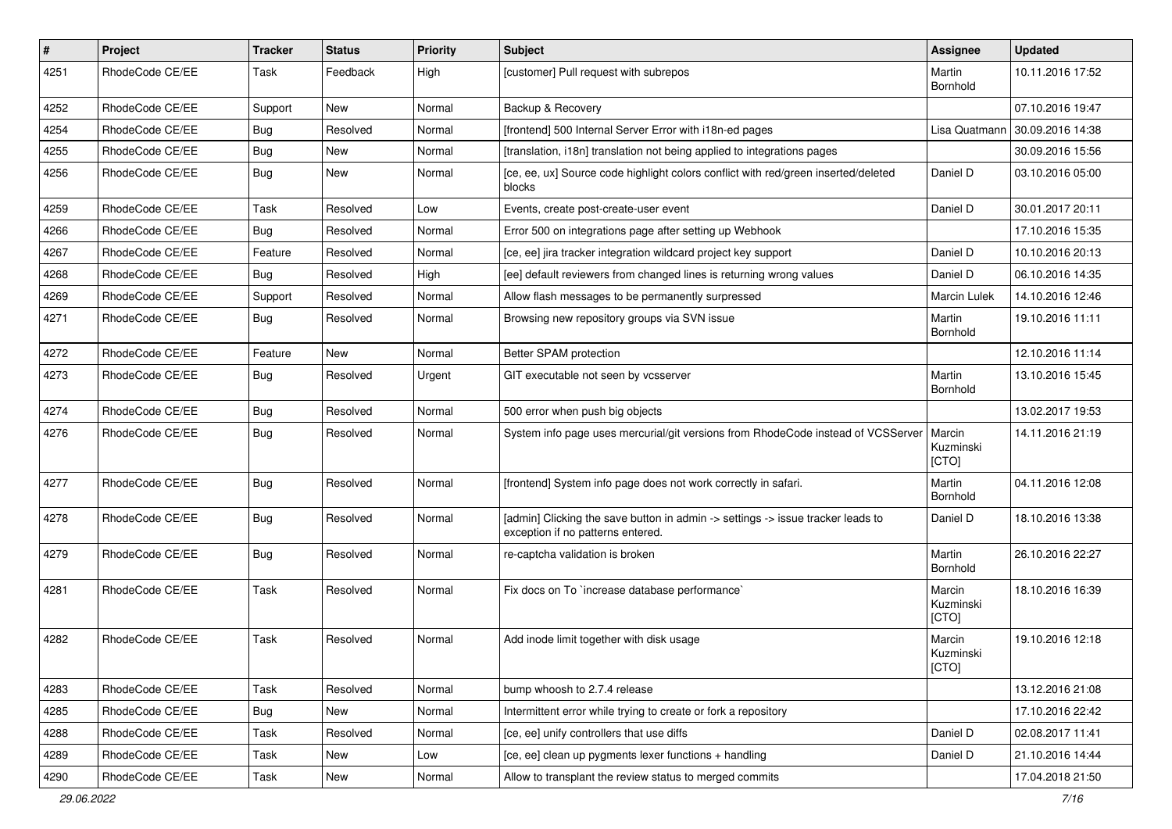| $\pmb{\#}$ | Project         | <b>Tracker</b> | <b>Status</b> | <b>Priority</b> | Subject                                                                                                              | Assignee                     | <b>Updated</b>   |
|------------|-----------------|----------------|---------------|-----------------|----------------------------------------------------------------------------------------------------------------------|------------------------------|------------------|
| 4251       | RhodeCode CE/EE | Task           | Feedback      | High            | [customer] Pull request with subrepos                                                                                | Martin<br>Bornhold           | 10.11.2016 17:52 |
| 4252       | RhodeCode CE/EE | Support        | <b>New</b>    | Normal          | Backup & Recovery                                                                                                    |                              | 07.10.2016 19:47 |
| 4254       | RhodeCode CE/EE | Bug            | Resolved      | Normal          | [frontend] 500 Internal Server Error with i18n-ed pages                                                              | Lisa Quatmann                | 30.09.2016 14:38 |
| 4255       | RhodeCode CE/EE | Bug            | <b>New</b>    | Normal          | [translation, i18n] translation not being applied to integrations pages                                              |                              | 30.09.2016 15:56 |
| 4256       | RhodeCode CE/EE | Bug            | New           | Normal          | [ce, ee, ux] Source code highlight colors conflict with red/green inserted/deleted<br>blocks                         | Daniel D                     | 03.10.2016 05:00 |
| 4259       | RhodeCode CE/EE | Task           | Resolved      | Low             | Events, create post-create-user event                                                                                | Daniel D                     | 30.01.2017 20:11 |
| 4266       | RhodeCode CE/EE | <b>Bug</b>     | Resolved      | Normal          | Error 500 on integrations page after setting up Webhook                                                              |                              | 17.10.2016 15:35 |
| 4267       | RhodeCode CE/EE | Feature        | Resolved      | Normal          | [ce, ee] jira tracker integration wildcard project key support                                                       | Daniel D                     | 10.10.2016 20:13 |
| 4268       | RhodeCode CE/EE | <b>Bug</b>     | Resolved      | High            | [ee] default reviewers from changed lines is returning wrong values                                                  | Daniel D                     | 06.10.2016 14:35 |
| 4269       | RhodeCode CE/EE | Support        | Resolved      | Normal          | Allow flash messages to be permanently surpressed                                                                    | Marcin Lulek                 | 14.10.2016 12:46 |
| 4271       | RhodeCode CE/EE | Bug            | Resolved      | Normal          | Browsing new repository groups via SVN issue                                                                         | Martin<br>Bornhold           | 19.10.2016 11:11 |
| 4272       | RhodeCode CE/EE | Feature        | <b>New</b>    | Normal          | Better SPAM protection                                                                                               |                              | 12.10.2016 11:14 |
| 4273       | RhodeCode CE/EE | Bug            | Resolved      | Urgent          | GIT executable not seen by vcsserver                                                                                 | Martin<br>Bornhold           | 13.10.2016 15:45 |
| 4274       | RhodeCode CE/EE | <b>Bug</b>     | Resolved      | Normal          | 500 error when push big objects                                                                                      |                              | 13.02.2017 19:53 |
| 4276       | RhodeCode CE/EE | Bug            | Resolved      | Normal          | System info page uses mercurial/git versions from RhodeCode instead of VCSServer                                     | Marcin<br>Kuzminski<br>[CTO] | 14.11.2016 21:19 |
| 4277       | RhodeCode CE/EE | Bug            | Resolved      | Normal          | [frontend] System info page does not work correctly in safari.                                                       | Martin<br>Bornhold           | 04.11.2016 12:08 |
| 4278       | RhodeCode CE/EE | <b>Bug</b>     | Resolved      | Normal          | [admin] Clicking the save button in admin -> settings -> issue tracker leads to<br>exception if no patterns entered. | Daniel D                     | 18.10.2016 13:38 |
| 4279       | RhodeCode CE/EE | Bug            | Resolved      | Normal          | re-captcha validation is broken                                                                                      | Martin<br>Bornhold           | 26.10.2016 22:27 |
| 4281       | RhodeCode CE/EE | Task           | Resolved      | Normal          | Fix docs on To `increase database performance`                                                                       | Marcin<br>Kuzminski<br>[CTO] | 18.10.2016 16:39 |
| 4282       | RhodeCode CE/EE | Task           | Resolved      | Normal          | Add inode limit together with disk usage                                                                             | Marcin<br>Kuzminski<br>[CTO] | 19.10.2016 12:18 |
| 4283       | RhodeCode CE/EE | Task           | Resolved      | Normal          | bump whoosh to 2.7.4 release                                                                                         |                              | 13.12.2016 21:08 |
| 4285       | RhodeCode CE/EE | Bug            | New           | Normal          | Intermittent error while trying to create or fork a repository                                                       |                              | 17.10.2016 22:42 |
| 4288       | RhodeCode CE/EE | Task           | Resolved      | Normal          | [ce, ee] unify controllers that use diffs                                                                            | Daniel D                     | 02.08.2017 11:41 |
| 4289       | RhodeCode CE/EE | Task           | New           | Low             | [ce, ee] clean up pygments lexer functions + handling                                                                | Daniel D                     | 21.10.2016 14:44 |
| 4290       | RhodeCode CE/EE | Task           | New           | Normal          | Allow to transplant the review status to merged commits                                                              |                              | 17.04.2018 21:50 |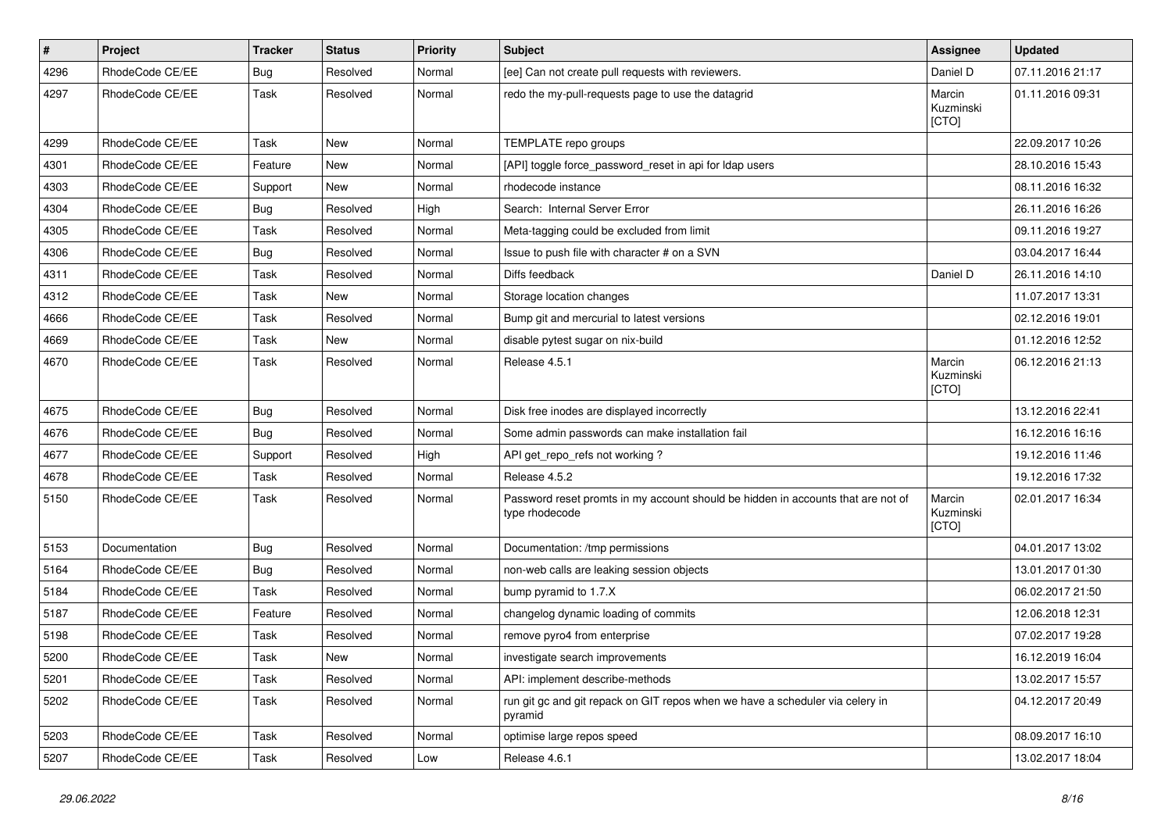| $\pmb{\#}$ | Project         | <b>Tracker</b> | <b>Status</b> | <b>Priority</b> | <b>Subject</b>                                                                                     | Assignee                     | <b>Updated</b>   |
|------------|-----------------|----------------|---------------|-----------------|----------------------------------------------------------------------------------------------------|------------------------------|------------------|
| 4296       | RhodeCode CE/EE | <b>Bug</b>     | Resolved      | Normal          | [ee] Can not create pull requests with reviewers.                                                  | Daniel D                     | 07.11.2016 21:17 |
| 4297       | RhodeCode CE/EE | Task           | Resolved      | Normal          | redo the my-pull-requests page to use the datagrid                                                 | Marcin<br>Kuzminski<br>[CTO] | 01.11.2016 09:31 |
| 4299       | RhodeCode CE/EE | Task           | <b>New</b>    | Normal          | TEMPLATE repo groups                                                                               |                              | 22.09.2017 10:26 |
| 4301       | RhodeCode CE/EE | Feature        | <b>New</b>    | Normal          | [API] toggle force_password_reset in api for Idap users                                            |                              | 28.10.2016 15:43 |
| 4303       | RhodeCode CE/EE | Support        | New           | Normal          | rhodecode instance                                                                                 |                              | 08.11.2016 16:32 |
| 4304       | RhodeCode CE/EE | Bug            | Resolved      | High            | Search: Internal Server Error                                                                      |                              | 26.11.2016 16:26 |
| 4305       | RhodeCode CE/EE | Task           | Resolved      | Normal          | Meta-tagging could be excluded from limit                                                          |                              | 09.11.2016 19:27 |
| 4306       | RhodeCode CE/EE | Bug            | Resolved      | Normal          | Issue to push file with character # on a SVN                                                       |                              | 03.04.2017 16:44 |
| 4311       | RhodeCode CE/EE | Task           | Resolved      | Normal          | Diffs feedback                                                                                     | Daniel D                     | 26.11.2016 14:10 |
| 4312       | RhodeCode CE/EE | Task           | <b>New</b>    | Normal          | Storage location changes                                                                           |                              | 11.07.2017 13:31 |
| 4666       | RhodeCode CE/EE | Task           | Resolved      | Normal          | Bump git and mercurial to latest versions                                                          |                              | 02.12.2016 19:01 |
| 4669       | RhodeCode CE/EE | Task           | <b>New</b>    | Normal          | disable pytest sugar on nix-build                                                                  |                              | 01.12.2016 12:52 |
| 4670       | RhodeCode CE/EE | Task           | Resolved      | Normal          | Release 4.5.1                                                                                      | Marcin<br>Kuzminski<br>[CTO] | 06.12.2016 21:13 |
| 4675       | RhodeCode CE/EE | Bug            | Resolved      | Normal          | Disk free inodes are displayed incorrectly                                                         |                              | 13.12.2016 22:41 |
| 4676       | RhodeCode CE/EE | Bug            | Resolved      | Normal          | Some admin passwords can make installation fail                                                    |                              | 16.12.2016 16:16 |
| 4677       | RhodeCode CE/EE | Support        | Resolved      | High            | API get_repo_refs not working?                                                                     |                              | 19.12.2016 11:46 |
| 4678       | RhodeCode CE/EE | Task           | Resolved      | Normal          | Release 4.5.2                                                                                      |                              | 19.12.2016 17:32 |
| 5150       | RhodeCode CE/EE | Task           | Resolved      | Normal          | Password reset promts in my account should be hidden in accounts that are not of<br>type rhodecode | Marcin<br>Kuzminski<br>[CTO] | 02.01.2017 16:34 |
| 5153       | Documentation   | Bug            | Resolved      | Normal          | Documentation: /tmp permissions                                                                    |                              | 04.01.2017 13:02 |
| 5164       | RhodeCode CE/EE | Bug            | Resolved      | Normal          | non-web calls are leaking session objects                                                          |                              | 13.01.2017 01:30 |
| 5184       | RhodeCode CE/EE | Task           | Resolved      | Normal          | bump pyramid to 1.7.X                                                                              |                              | 06.02.2017 21:50 |
| 5187       | RhodeCode CE/EE | Feature        | Resolved      | Normal          | changelog dynamic loading of commits                                                               |                              | 12.06.2018 12:31 |
| 5198       | RhodeCode CE/EE | Task           | Resolved      | Normal          | remove pyro4 from enterprise                                                                       |                              | 07.02.2017 19:28 |
| 5200       | RhodeCode CE/EE | Task           | New           | Normal          | investigate search improvements                                                                    |                              | 16.12.2019 16:04 |
| 5201       | RhodeCode CE/EE | Task           | Resolved      | Normal          | API: implement describe-methods                                                                    |                              | 13.02.2017 15:57 |
| 5202       | RhodeCode CE/EE | Task           | Resolved      | Normal          | run git gc and git repack on GIT repos when we have a scheduler via celery in<br>pyramid           |                              | 04.12.2017 20:49 |
| 5203       | RhodeCode CE/EE | Task           | Resolved      | Normal          | optimise large repos speed                                                                         |                              | 08.09.2017 16:10 |
| 5207       | RhodeCode CE/EE | Task           | Resolved      | Low             | Release 4.6.1                                                                                      |                              | 13.02.2017 18:04 |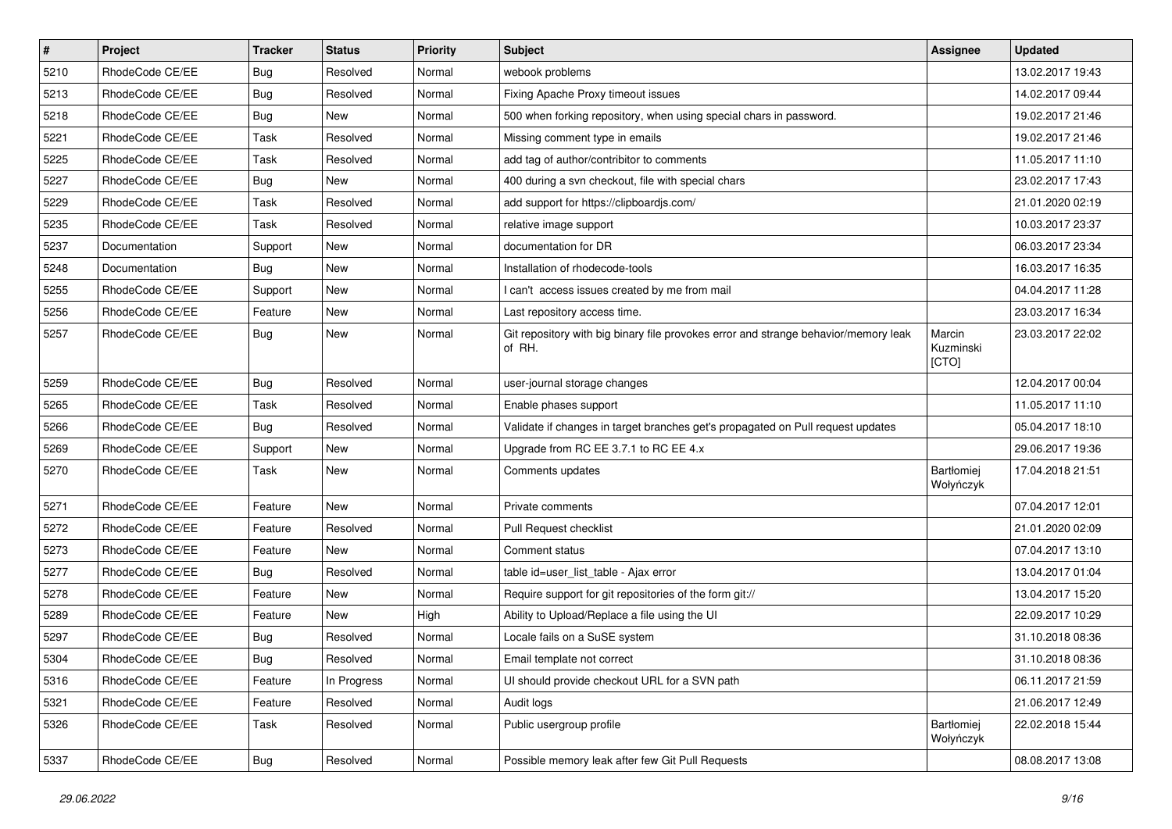| $\pmb{\#}$ | Project         | <b>Tracker</b> | <b>Status</b> | <b>Priority</b> | <b>Subject</b>                                                                                | <b>Assignee</b>              | <b>Updated</b>   |
|------------|-----------------|----------------|---------------|-----------------|-----------------------------------------------------------------------------------------------|------------------------------|------------------|
| 5210       | RhodeCode CE/EE | Bug            | Resolved      | Normal          | webook problems                                                                               |                              | 13.02.2017 19:43 |
| 5213       | RhodeCode CE/EE | Bug            | Resolved      | Normal          | Fixing Apache Proxy timeout issues                                                            |                              | 14.02.2017 09:44 |
| 5218       | RhodeCode CE/EE | Bug            | New           | Normal          | 500 when forking repository, when using special chars in password.                            |                              | 19.02.2017 21:46 |
| 5221       | RhodeCode CE/EE | Task           | Resolved      | Normal          | Missing comment type in emails                                                                |                              | 19.02.2017 21:46 |
| 5225       | RhodeCode CE/EE | Task           | Resolved      | Normal          | add tag of author/contribitor to comments                                                     |                              | 11.05.2017 11:10 |
| 5227       | RhodeCode CE/EE | Bug            | New           | Normal          | 400 during a svn checkout, file with special chars                                            |                              | 23.02.2017 17:43 |
| 5229       | RhodeCode CE/EE | Task           | Resolved      | Normal          | add support for https://clipboardjs.com/                                                      |                              | 21.01.2020 02:19 |
| 5235       | RhodeCode CE/EE | Task           | Resolved      | Normal          | relative image support                                                                        |                              | 10.03.2017 23:37 |
| 5237       | Documentation   | Support        | New           | Normal          | documentation for DR                                                                          |                              | 06.03.2017 23:34 |
| 5248       | Documentation   | Bug            | New           | Normal          | Installation of rhodecode-tools                                                               |                              | 16.03.2017 16:35 |
| 5255       | RhodeCode CE/EE | Support        | <b>New</b>    | Normal          | I can't access issues created by me from mail                                                 |                              | 04.04.2017 11:28 |
| 5256       | RhodeCode CE/EE | Feature        | New           | Normal          | Last repository access time.                                                                  |                              | 23.03.2017 16:34 |
| 5257       | RhodeCode CE/EE | Bug            | New           | Normal          | Git repository with big binary file provokes error and strange behavior/memory leak<br>of RH. | Marcin<br>Kuzminski<br>[CTO] | 23.03.2017 22:02 |
| 5259       | RhodeCode CE/EE | Bug            | Resolved      | Normal          | user-journal storage changes                                                                  |                              | 12.04.2017 00:04 |
| 5265       | RhodeCode CE/EE | Task           | Resolved      | Normal          | Enable phases support                                                                         |                              | 11.05.2017 11:10 |
| 5266       | RhodeCode CE/EE | Bug            | Resolved      | Normal          | Validate if changes in target branches get's propagated on Pull request updates               |                              | 05.04.2017 18:10 |
| 5269       | RhodeCode CE/EE | Support        | New           | Normal          | Upgrade from RC EE 3.7.1 to RC EE 4.x                                                         |                              | 29.06.2017 19:36 |
| 5270       | RhodeCode CE/EE | Task           | New           | Normal          | Comments updates                                                                              | Bartłomiej<br>Wołyńczyk      | 17.04.2018 21:51 |
| 5271       | RhodeCode CE/EE | Feature        | <b>New</b>    | Normal          | Private comments                                                                              |                              | 07.04.2017 12:01 |
| 5272       | RhodeCode CE/EE | Feature        | Resolved      | Normal          | Pull Request checklist                                                                        |                              | 21.01.2020 02:09 |
| 5273       | RhodeCode CE/EE | Feature        | New           | Normal          | Comment status                                                                                |                              | 07.04.2017 13:10 |
| 5277       | RhodeCode CE/EE | Bug            | Resolved      | Normal          | table id=user_list_table - Ajax error                                                         |                              | 13.04.2017 01:04 |
| 5278       | RhodeCode CE/EE | Feature        | <b>New</b>    | Normal          | Require support for git repositories of the form git://                                       |                              | 13.04.2017 15:20 |
| 5289       | RhodeCode CE/EE | Feature        | New           | High            | Ability to Upload/Replace a file using the UI                                                 |                              | 22.09.2017 10:29 |
| 5297       | RhodeCode CE/EE | Bug            | Resolved      | Normal          | Locale fails on a SuSE system                                                                 |                              | 31.10.2018 08:36 |
| 5304       | RhodeCode CE/EE | Bug            | Resolved      | Normal          | Email template not correct                                                                    |                              | 31.10.2018 08:36 |
| 5316       | RhodeCode CE/EE | Feature        | In Progress   | Normal          | UI should provide checkout URL for a SVN path                                                 |                              | 06.11.2017 21:59 |
| 5321       | RhodeCode CE/EE | Feature        | Resolved      | Normal          | Audit logs                                                                                    |                              | 21.06.2017 12:49 |
| 5326       | RhodeCode CE/EE | Task           | Resolved      | Normal          | Public usergroup profile                                                                      | Bartłomiej<br>Wołyńczyk      | 22.02.2018 15:44 |
| 5337       | RhodeCode CE/EE | <b>Bug</b>     | Resolved      | Normal          | Possible memory leak after few Git Pull Requests                                              |                              | 08.08.2017 13:08 |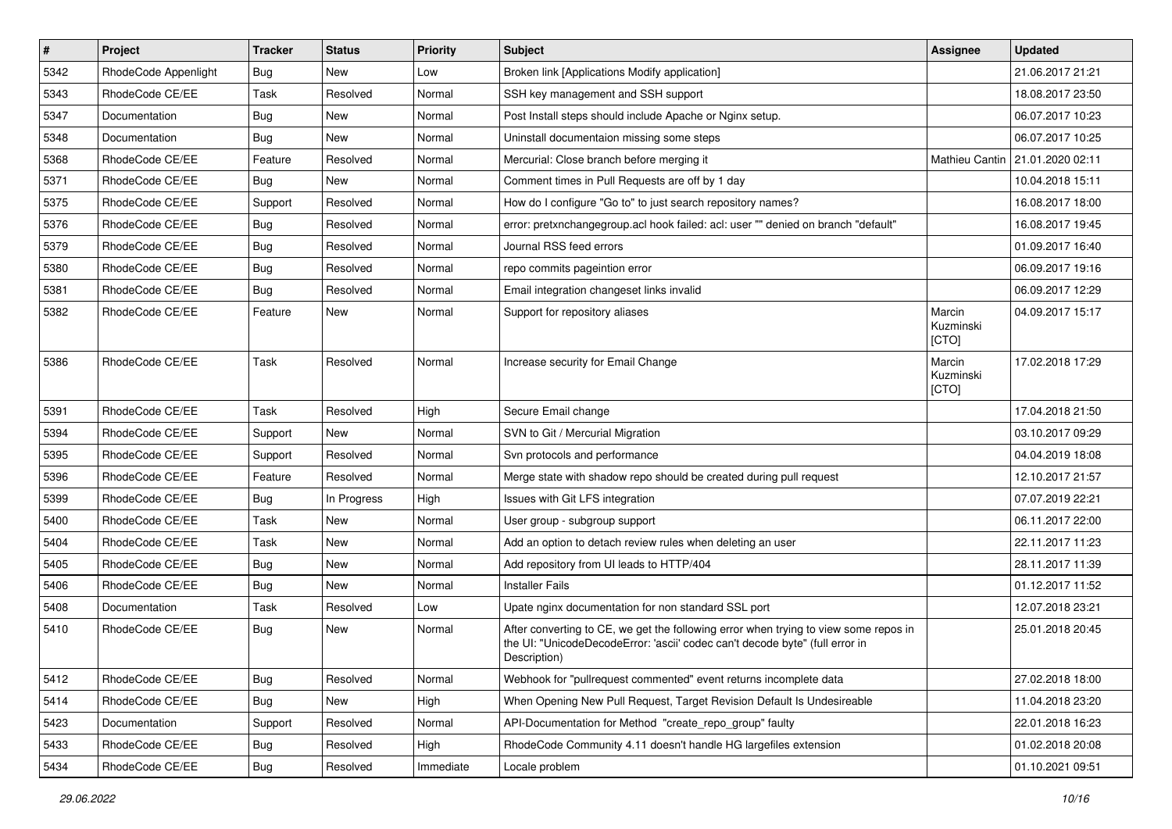| $\vert$ # | Project              | <b>Tracker</b> | <b>Status</b> | <b>Priority</b> | <b>Subject</b>                                                                                                                                                                       | Assignee                     | <b>Updated</b>   |
|-----------|----------------------|----------------|---------------|-----------------|--------------------------------------------------------------------------------------------------------------------------------------------------------------------------------------|------------------------------|------------------|
| 5342      | RhodeCode Appenlight | Bug            | New           | Low             | Broken link [Applications Modify application]                                                                                                                                        |                              | 21.06.2017 21:21 |
| 5343      | RhodeCode CE/EE      | Task           | Resolved      | Normal          | SSH key management and SSH support                                                                                                                                                   |                              | 18.08.2017 23:50 |
| 5347      | Documentation        | Bug            | New           | Normal          | Post Install steps should include Apache or Nginx setup.                                                                                                                             |                              | 06.07.2017 10:23 |
| 5348      | Documentation        | Bug            | New           | Normal          | Uninstall documentaion missing some steps                                                                                                                                            |                              | 06.07.2017 10:25 |
| 5368      | RhodeCode CE/EE      | Feature        | Resolved      | Normal          | Mercurial: Close branch before merging it                                                                                                                                            | Mathieu Cantin               | 21.01.2020 02:11 |
| 5371      | RhodeCode CE/EE      | Bug            | New           | Normal          | Comment times in Pull Requests are off by 1 day                                                                                                                                      |                              | 10.04.2018 15:11 |
| 5375      | RhodeCode CE/EE      | Support        | Resolved      | Normal          | How do I configure "Go to" to just search repository names?                                                                                                                          |                              | 16.08.2017 18:00 |
| 5376      | RhodeCode CE/EE      | Bug            | Resolved      | Normal          | error: pretxnchangegroup.acl hook failed: acl: user "" denied on branch "default"                                                                                                    |                              | 16.08.2017 19:45 |
| 5379      | RhodeCode CE/EE      | Bug            | Resolved      | Normal          | Journal RSS feed errors                                                                                                                                                              |                              | 01.09.2017 16:40 |
| 5380      | RhodeCode CE/EE      | Bug            | Resolved      | Normal          | repo commits pageintion error                                                                                                                                                        |                              | 06.09.2017 19:16 |
| 5381      | RhodeCode CE/EE      | Bug            | Resolved      | Normal          | Email integration changeset links invalid                                                                                                                                            |                              | 06.09.2017 12:29 |
| 5382      | RhodeCode CE/EE      | Feature        | New           | Normal          | Support for repository aliases                                                                                                                                                       | Marcin<br>Kuzminski<br>[CTO] | 04.09.2017 15:17 |
| 5386      | RhodeCode CE/EE      | Task           | Resolved      | Normal          | Increase security for Email Change                                                                                                                                                   | Marcin<br>Kuzminski<br>[CTO] | 17.02.2018 17:29 |
| 5391      | RhodeCode CE/EE      | Task           | Resolved      | High            | Secure Email change                                                                                                                                                                  |                              | 17.04.2018 21:50 |
| 5394      | RhodeCode CE/EE      | Support        | New           | Normal          | SVN to Git / Mercurial Migration                                                                                                                                                     |                              | 03.10.2017 09:29 |
| 5395      | RhodeCode CE/EE      | Support        | Resolved      | Normal          | Svn protocols and performance                                                                                                                                                        |                              | 04.04.2019 18:08 |
| 5396      | RhodeCode CE/EE      | Feature        | Resolved      | Normal          | Merge state with shadow repo should be created during pull request                                                                                                                   |                              | 12.10.2017 21:57 |
| 5399      | RhodeCode CE/EE      | Bug            | In Progress   | High            | Issues with Git LFS integration                                                                                                                                                      |                              | 07.07.2019 22:21 |
| 5400      | RhodeCode CE/EE      | Task           | <b>New</b>    | Normal          | User group - subgroup support                                                                                                                                                        |                              | 06.11.2017 22:00 |
| 5404      | RhodeCode CE/EE      | Task           | New           | Normal          | Add an option to detach review rules when deleting an user                                                                                                                           |                              | 22.11.2017 11:23 |
| 5405      | RhodeCode CE/EE      | Bug            | New           | Normal          | Add repository from UI leads to HTTP/404                                                                                                                                             |                              | 28.11.2017 11:39 |
| 5406      | RhodeCode CE/EE      | Bug            | <b>New</b>    | Normal          | <b>Installer Fails</b>                                                                                                                                                               |                              | 01.12.2017 11:52 |
| 5408      | Documentation        | Task           | Resolved      | Low             | Upate nginx documentation for non standard SSL port                                                                                                                                  |                              | 12.07.2018 23:21 |
| 5410      | RhodeCode CE/EE      | Bug            | New           | Normal          | After converting to CE, we get the following error when trying to view some repos in<br>the UI: "UnicodeDecodeError: 'ascii' codec can't decode byte" (full error in<br>Description) |                              | 25.01.2018 20:45 |
| 5412      | RhodeCode CE/EE      | Bug            | Resolved      | Normal          | Webhook for "pullrequest commented" event returns incomplete data                                                                                                                    |                              | 27.02.2018 18:00 |
| 5414      | RhodeCode CE/EE      | <b>Bug</b>     | New           | High            | When Opening New Pull Request, Target Revision Default Is Undesireable                                                                                                               |                              | 11.04.2018 23:20 |
| 5423      | Documentation        | Support        | Resolved      | Normal          | API-Documentation for Method "create_repo_group" faulty                                                                                                                              |                              | 22.01.2018 16:23 |
| 5433      | RhodeCode CE/EE      | <b>Bug</b>     | Resolved      | High            | RhodeCode Community 4.11 doesn't handle HG largefiles extension                                                                                                                      |                              | 01.02.2018 20:08 |
| 5434      | RhodeCode CE/EE      | Bug            | Resolved      | Immediate       | Locale problem                                                                                                                                                                       |                              | 01.10.2021 09:51 |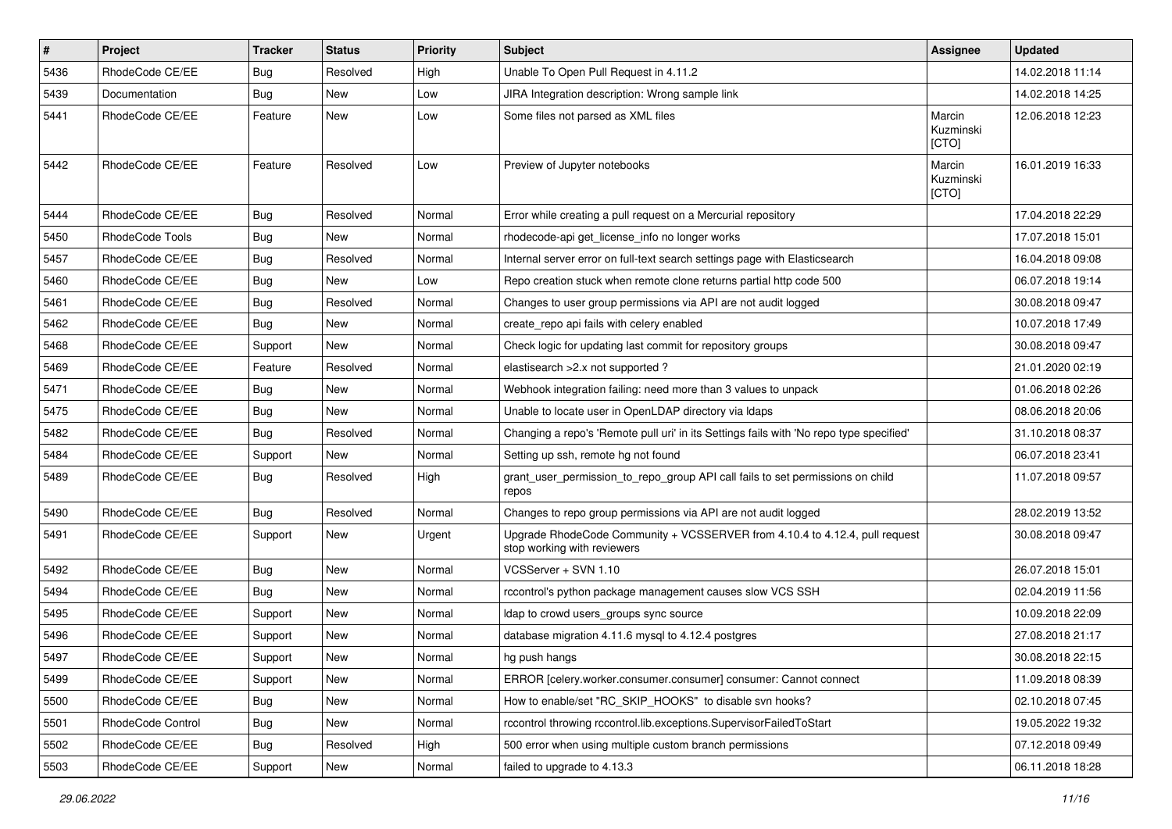| $\pmb{\#}$ | <b>Project</b>    | <b>Tracker</b> | <b>Status</b> | <b>Priority</b> | <b>Subject</b>                                                                                             | Assignee                     | <b>Updated</b>   |
|------------|-------------------|----------------|---------------|-----------------|------------------------------------------------------------------------------------------------------------|------------------------------|------------------|
| 5436       | RhodeCode CE/EE   | <b>Bug</b>     | Resolved      | High            | Unable To Open Pull Request in 4.11.2                                                                      |                              | 14.02.2018 11:14 |
| 5439       | Documentation     | Bug            | <b>New</b>    | Low             | JIRA Integration description: Wrong sample link                                                            |                              | 14.02.2018 14:25 |
| 5441       | RhodeCode CE/EE   | Feature        | New           | Low             | Some files not parsed as XML files                                                                         | Marcin<br>Kuzminski<br>[CTO] | 12.06.2018 12:23 |
| 5442       | RhodeCode CE/EE   | Feature        | Resolved      | Low             | Preview of Jupyter notebooks                                                                               | Marcin<br>Kuzminski<br>[CTO] | 16.01.2019 16:33 |
| 5444       | RhodeCode CE/EE   | Bug            | Resolved      | Normal          | Error while creating a pull request on a Mercurial repository                                              |                              | 17.04.2018 22:29 |
| 5450       | RhodeCode Tools   | Bug            | New           | Normal          | rhodecode-api get license info no longer works                                                             |                              | 17.07.2018 15:01 |
| 5457       | RhodeCode CE/EE   | Bug            | Resolved      | Normal          | Internal server error on full-text search settings page with Elasticsearch                                 |                              | 16.04.2018 09:08 |
| 5460       | RhodeCode CE/EE   | Bug            | New           | Low             | Repo creation stuck when remote clone returns partial http code 500                                        |                              | 06.07.2018 19:14 |
| 5461       | RhodeCode CE/EE   | Bug            | Resolved      | Normal          | Changes to user group permissions via API are not audit logged                                             |                              | 30.08.2018 09:47 |
| 5462       | RhodeCode CE/EE   | Bug            | New           | Normal          | create_repo api fails with celery enabled                                                                  |                              | 10.07.2018 17:49 |
| 5468       | RhodeCode CE/EE   | Support        | New           | Normal          | Check logic for updating last commit for repository groups                                                 |                              | 30.08.2018 09:47 |
| 5469       | RhodeCode CE/EE   | Feature        | Resolved      | Normal          | elastisearch > 2.x not supported?                                                                          |                              | 21.01.2020 02:19 |
| 5471       | RhodeCode CE/EE   | Bug            | New           | Normal          | Webhook integration failing: need more than 3 values to unpack                                             |                              | 01.06.2018 02:26 |
| 5475       | RhodeCode CE/EE   | Bug            | <b>New</b>    | Normal          | Unable to locate user in OpenLDAP directory via Idaps                                                      |                              | 08.06.2018 20:06 |
| 5482       | RhodeCode CE/EE   | Bug            | Resolved      | Normal          | Changing a repo's 'Remote pull uri' in its Settings fails with 'No repo type specified'                    |                              | 31.10.2018 08:37 |
| 5484       | RhodeCode CE/EE   | Support        | <b>New</b>    | Normal          | Setting up ssh, remote hg not found                                                                        |                              | 06.07.2018 23:41 |
| 5489       | RhodeCode CE/EE   | Bug            | Resolved      | High            | grant user permission to repo group API call fails to set permissions on child<br>repos                    |                              | 11.07.2018 09:57 |
| 5490       | RhodeCode CE/EE   | Bug            | Resolved      | Normal          | Changes to repo group permissions via API are not audit logged                                             |                              | 28.02.2019 13:52 |
| 5491       | RhodeCode CE/EE   | Support        | <b>New</b>    | Urgent          | Upgrade RhodeCode Community + VCSSERVER from 4.10.4 to 4.12.4, pull request<br>stop working with reviewers |                              | 30.08.2018 09:47 |
| 5492       | RhodeCode CE/EE   | Bug            | <b>New</b>    | Normal          | VCSServer + SVN 1.10                                                                                       |                              | 26.07.2018 15:01 |
| 5494       | RhodeCode CE/EE   | <b>Bug</b>     | New           | Normal          | rccontrol's python package management causes slow VCS SSH                                                  |                              | 02.04.2019 11:56 |
| 5495       | RhodeCode CE/EE   | Support        | New           | Normal          | Idap to crowd users_groups sync source                                                                     |                              | 10.09.2018 22:09 |
| 5496       | RhodeCode CE/EE   | Support        | <b>New</b>    | Normal          | database migration 4.11.6 mysql to 4.12.4 postgres                                                         |                              | 27.08.2018 21:17 |
| 5497       | RhodeCode CE/EE   | Support        | New           | Normal          | hg push hangs                                                                                              |                              | 30.08.2018 22:15 |
| 5499       | RhodeCode CE/EE   | Support        | New           | Normal          | ERROR [celery.worker.consumer.consumer] consumer: Cannot connect                                           |                              | 11.09.2018 08:39 |
| 5500       | RhodeCode CE/EE   | <b>Bug</b>     | New           | Normal          | How to enable/set "RC_SKIP_HOOKS" to disable svn hooks?                                                    |                              | 02.10.2018 07:45 |
| 5501       | RhodeCode Control | Bug            | New           | Normal          | rccontrol throwing rccontrol.lib.exceptions.SupervisorFailedToStart                                        |                              | 19.05.2022 19:32 |
| 5502       | RhodeCode CE/EE   | Bug            | Resolved      | High            | 500 error when using multiple custom branch permissions                                                    |                              | 07.12.2018 09:49 |
| 5503       | RhodeCode CE/EE   | Support        | New           | Normal          | failed to upgrade to 4.13.3                                                                                |                              | 06.11.2018 18:28 |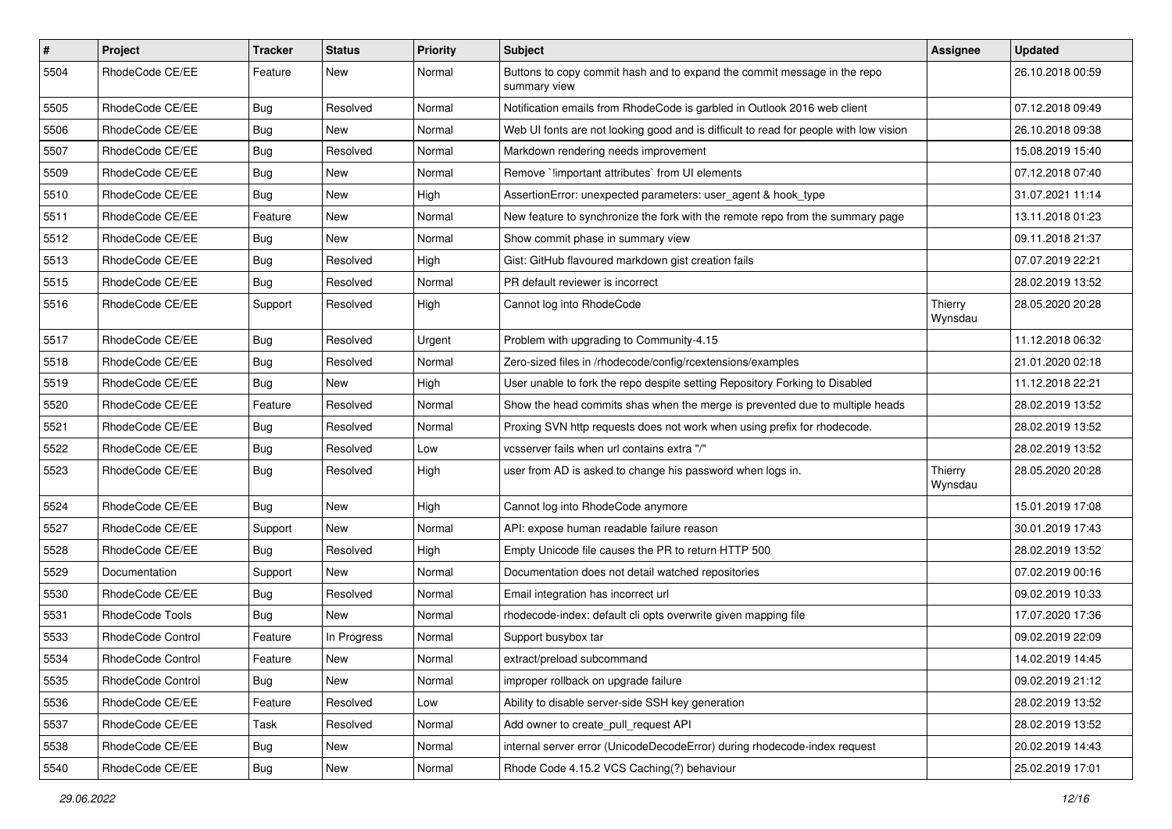| $\pmb{\#}$ | Project           | <b>Tracker</b> | <b>Status</b> | Priority | <b>Subject</b>                                                                           | <b>Assignee</b>    | <b>Updated</b>   |
|------------|-------------------|----------------|---------------|----------|------------------------------------------------------------------------------------------|--------------------|------------------|
| 5504       | RhodeCode CE/EE   | Feature        | New           | Normal   | Buttons to copy commit hash and to expand the commit message in the repo<br>summary view |                    | 26.10.2018 00:59 |
| 5505       | RhodeCode CE/EE   | Bug            | Resolved      | Normal   | Notification emails from RhodeCode is garbled in Outlook 2016 web client                 |                    | 07.12.2018 09:49 |
| 5506       | RhodeCode CE/EE   | Bug            | New           | Normal   | Web UI fonts are not looking good and is difficult to read for people with low vision    |                    | 26.10.2018 09:38 |
| 5507       | RhodeCode CE/EE   | Bug            | Resolved      | Normal   | Markdown rendering needs improvement                                                     |                    | 15.08.2019 15:40 |
| 5509       | RhodeCode CE/EE   | Bug            | New           | Normal   | Remove `!important attributes` from UI elements                                          |                    | 07.12.2018 07:40 |
| 5510       | RhodeCode CE/EE   | Bug            | New           | High     | AssertionError: unexpected parameters: user_agent & hook_type                            |                    | 31.07.2021 11:14 |
| 5511       | RhodeCode CE/EE   | Feature        | New           | Normal   | New feature to synchronize the fork with the remote repo from the summary page           |                    | 13.11.2018 01:23 |
| 5512       | RhodeCode CE/EE   | Bug            | New           | Normal   | Show commit phase in summary view                                                        |                    | 09.11.2018 21:37 |
| 5513       | RhodeCode CE/EE   | <b>Bug</b>     | Resolved      | High     | Gist: GitHub flavoured markdown gist creation fails                                      |                    | 07.07.2019 22:21 |
| 5515       | RhodeCode CE/EE   | Bug            | Resolved      | Normal   | PR default reviewer is incorrect                                                         |                    | 28.02.2019 13:52 |
| 5516       | RhodeCode CE/EE   | Support        | Resolved      | High     | Cannot log into RhodeCode                                                                | Thierry<br>Wynsdau | 28.05.2020 20:28 |
| 5517       | RhodeCode CE/EE   | Bug            | Resolved      | Urgent   | Problem with upgrading to Community-4.15                                                 |                    | 11.12.2018 06:32 |
| 5518       | RhodeCode CE/EE   | <b>Bug</b>     | Resolved      | Normal   | Zero-sized files in /rhodecode/config/rcextensions/examples                              |                    | 21.01.2020 02:18 |
| 5519       | RhodeCode CE/EE   | Bug            | New           | High     | User unable to fork the repo despite setting Repository Forking to Disabled              |                    | 11.12.2018 22:21 |
| 5520       | RhodeCode CE/EE   | Feature        | Resolved      | Normal   | Show the head commits shas when the merge is prevented due to multiple heads             |                    | 28.02.2019 13:52 |
| 5521       | RhodeCode CE/EE   | <b>Bug</b>     | Resolved      | Normal   | Proxing SVN http requests does not work when using prefix for rhodecode.                 |                    | 28.02.2019 13:52 |
| 5522       | RhodeCode CE/EE   | Bug            | Resolved      | Low      | vcsserver fails when url contains extra "/"                                              |                    | 28.02.2019 13:52 |
| 5523       | RhodeCode CE/EE   | Bug            | Resolved      | High     | user from AD is asked to change his password when logs in.                               | Thierry<br>Wynsdau | 28.05.2020 20:28 |
| 5524       | RhodeCode CE/EE   | Bug            | New           | High     | Cannot log into RhodeCode anymore                                                        |                    | 15.01.2019 17:08 |
| 5527       | RhodeCode CE/EE   | Support        | <b>New</b>    | Normal   | API: expose human readable failure reason                                                |                    | 30.01.2019 17:43 |
| 5528       | RhodeCode CE/EE   | Bug            | Resolved      | High     | Empty Unicode file causes the PR to return HTTP 500                                      |                    | 28.02.2019 13:52 |
| 5529       | Documentation     | Support        | <b>New</b>    | Normal   | Documentation does not detail watched repositories                                       |                    | 07.02.2019 00:16 |
| 5530       | RhodeCode CE/EE   | Bug            | Resolved      | Normal   | Email integration has incorrect url                                                      |                    | 09.02.2019 10:33 |
| 5531       | RhodeCode Tools   | Bug            | <b>New</b>    | Normal   | rhodecode-index: default cli opts overwrite given mapping file                           |                    | 17.07.2020 17:36 |
| 5533       | RhodeCode Control | Feature        | In Progress   | Normal   | Support busybox tar                                                                      |                    | 09.02.2019 22:09 |
| 5534       | RhodeCode Control | Feature        | New           | Normal   | extract/preload subcommand                                                               |                    | 14.02.2019 14:45 |
| 5535       | RhodeCode Control | Bug            | New           | Normal   | improper rollback on upgrade failure                                                     |                    | 09.02.2019 21:12 |
| 5536       | RhodeCode CE/EE   | Feature        | Resolved      | Low      | Ability to disable server-side SSH key generation                                        |                    | 28.02.2019 13:52 |
| 5537       | RhodeCode CE/EE   | Task           | Resolved      | Normal   | Add owner to create_pull_request API                                                     |                    | 28.02.2019 13:52 |
| 5538       | RhodeCode CE/EE   | Bug            | New           | Normal   | internal server error (UnicodeDecodeError) during rhodecode-index request                |                    | 20.02.2019 14:43 |
| 5540       | RhodeCode CE/EE   | Bug            | New           | Normal   | Rhode Code 4.15.2 VCS Caching(?) behaviour                                               |                    | 25.02.2019 17:01 |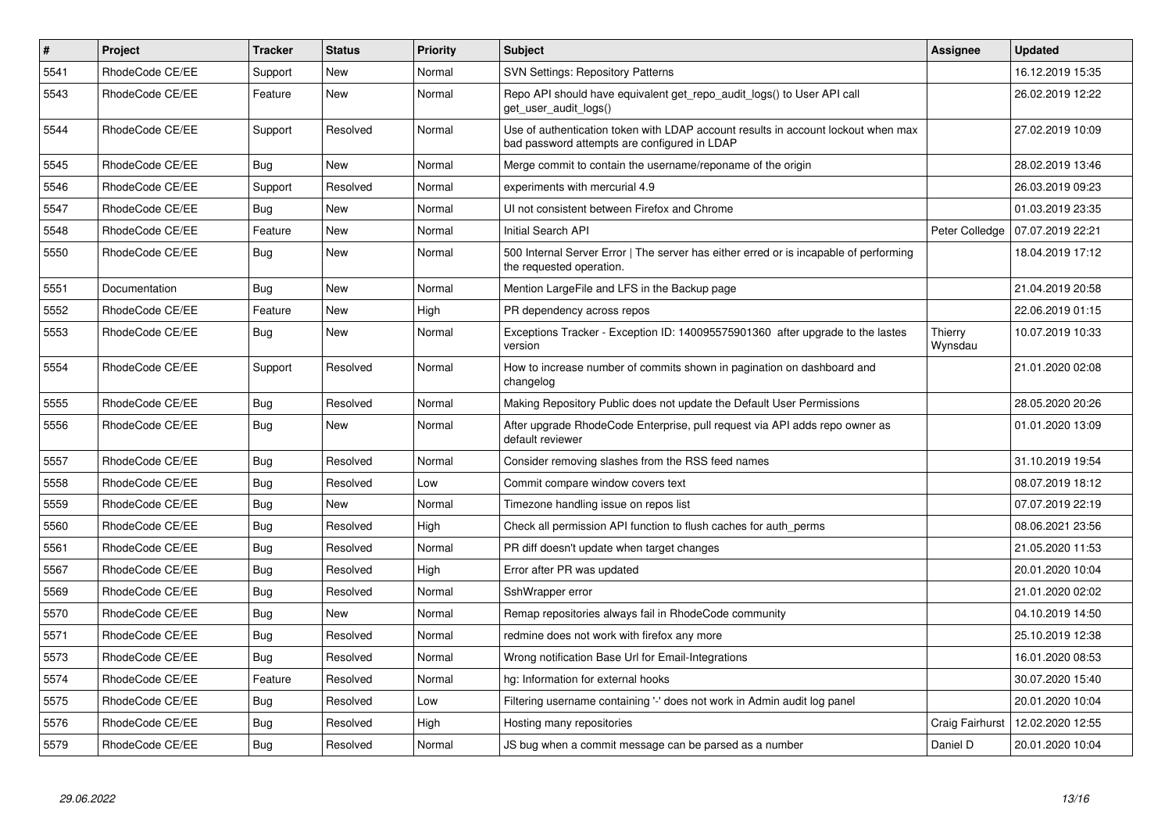| $\vert$ # | <b>Project</b>  | Tracker    | <b>Status</b> | <b>Priority</b> | <b>Subject</b>                                                                                                                    | Assignee           | <b>Updated</b>   |
|-----------|-----------------|------------|---------------|-----------------|-----------------------------------------------------------------------------------------------------------------------------------|--------------------|------------------|
| 5541      | RhodeCode CE/EE | Support    | <b>New</b>    | Normal          | <b>SVN Settings: Repository Patterns</b>                                                                                          |                    | 16.12.2019 15:35 |
| 5543      | RhodeCode CE/EE | Feature    | <b>New</b>    | Normal          | Repo API should have equivalent get repo audit logs() to User API call<br>get user audit logs()                                   |                    | 26.02.2019 12:22 |
| 5544      | RhodeCode CE/EE | Support    | Resolved      | Normal          | Use of authentication token with LDAP account results in account lockout when max<br>bad password attempts are configured in LDAP |                    | 27.02.2019 10:09 |
| 5545      | RhodeCode CE/EE | Bug        | New           | Normal          | Merge commit to contain the username/reponame of the origin                                                                       |                    | 28.02.2019 13:46 |
| 5546      | RhodeCode CE/EE | Support    | Resolved      | Normal          | experiments with mercurial 4.9                                                                                                    |                    | 26.03.2019 09:23 |
| 5547      | RhodeCode CE/EE | Bug        | New           | Normal          | UI not consistent between Firefox and Chrome                                                                                      |                    | 01.03.2019 23:35 |
| 5548      | RhodeCode CE/EE | Feature    | <b>New</b>    | Normal          | Initial Search API                                                                                                                | Peter Colledge     | 07.07.2019 22:21 |
| 5550      | RhodeCode CE/EE | <b>Bug</b> | <b>New</b>    | Normal          | 500 Internal Server Error   The server has either erred or is incapable of performing<br>the requested operation.                 |                    | 18.04.2019 17:12 |
| 5551      | Documentation   | Bug        | New           | Normal          | Mention LargeFile and LFS in the Backup page                                                                                      |                    | 21.04.2019 20:58 |
| 5552      | RhodeCode CE/EE | Feature    | <b>New</b>    | High            | PR dependency across repos                                                                                                        |                    | 22.06.2019 01:15 |
| 5553      | RhodeCode CE/EE | Bug        | <b>New</b>    | Normal          | Exceptions Tracker - Exception ID: 140095575901360 after upgrade to the lastes<br>version                                         | Thierry<br>Wynsdau | 10.07.2019 10:33 |
| 5554      | RhodeCode CE/EE | Support    | Resolved      | Normal          | How to increase number of commits shown in pagination on dashboard and<br>changelog                                               |                    | 21.01.2020 02:08 |
| 5555      | RhodeCode CE/EE | Bug        | Resolved      | Normal          | Making Repository Public does not update the Default User Permissions                                                             |                    | 28.05.2020 20:26 |
| 5556      | RhodeCode CE/EE | Bug        | <b>New</b>    | Normal          | After upgrade RhodeCode Enterprise, pull request via API adds repo owner as<br>default reviewer                                   |                    | 01.01.2020 13:09 |
| 5557      | RhodeCode CE/EE | Bug        | Resolved      | Normal          | Consider removing slashes from the RSS feed names                                                                                 |                    | 31.10.2019 19:54 |
| 5558      | RhodeCode CE/EE | Bug        | Resolved      | Low             | Commit compare window covers text                                                                                                 |                    | 08.07.2019 18:12 |
| 5559      | RhodeCode CE/EE | Bug        | <b>New</b>    | Normal          | Timezone handling issue on repos list                                                                                             |                    | 07.07.2019 22:19 |
| 5560      | RhodeCode CE/EE | <b>Bug</b> | Resolved      | High            | Check all permission API function to flush caches for auth perms                                                                  |                    | 08.06.2021 23:56 |
| 5561      | RhodeCode CE/EE | Bug        | Resolved      | Normal          | PR diff doesn't update when target changes                                                                                        |                    | 21.05.2020 11:53 |
| 5567      | RhodeCode CE/EE | Bug        | Resolved      | High            | Error after PR was updated                                                                                                        |                    | 20.01.2020 10:04 |
| 5569      | RhodeCode CE/EE | Bug        | Resolved      | Normal          | SshWrapper error                                                                                                                  |                    | 21.01.2020 02:02 |
| 5570      | RhodeCode CE/EE | <b>Bug</b> | New           | Normal          | Remap repositories always fail in RhodeCode community                                                                             |                    | 04.10.2019 14:50 |
| 5571      | RhodeCode CE/EE | Bug        | Resolved      | Normal          | redmine does not work with firefox any more                                                                                       |                    | 25.10.2019 12:38 |
| 5573      | RhodeCode CE/EE | Bug        | Resolved      | Normal          | Wrong notification Base Url for Email-Integrations                                                                                |                    | 16.01.2020 08:53 |
| 5574      | RhodeCode CE/EE | Feature    | Resolved      | Normal          | hg: Information for external hooks                                                                                                |                    | 30.07.2020 15:40 |
| 5575      | RhodeCode CE/EE | <b>Bug</b> | Resolved      | Low             | Filtering username containing '-' does not work in Admin audit log panel                                                          |                    | 20.01.2020 10:04 |
| 5576      | RhodeCode CE/EE | Bug        | Resolved      | High            | Hosting many repositories                                                                                                         | Craig Fairhurst    | 12.02.2020 12:55 |
| 5579      | RhodeCode CE/EE | <b>Bug</b> | Resolved      | Normal          | JS bug when a commit message can be parsed as a number                                                                            | Daniel D           | 20.01.2020 10:04 |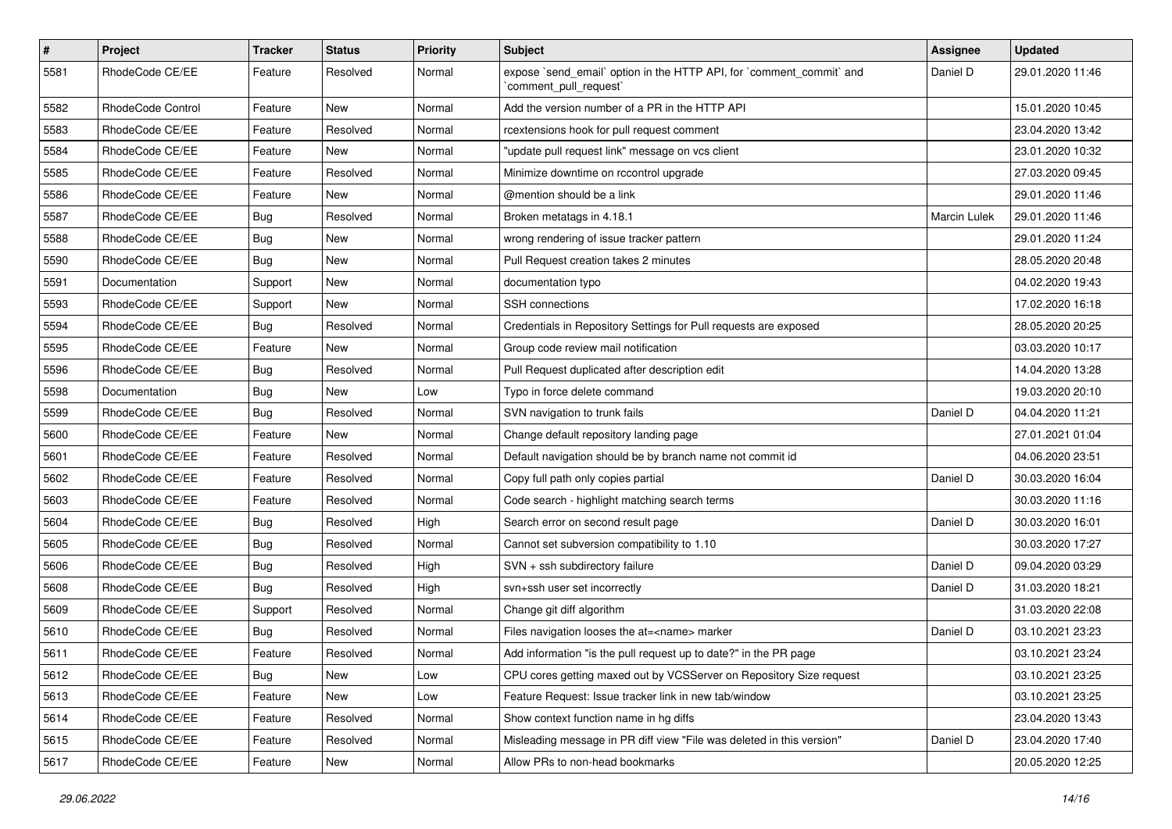| $\#$ | Project           | Tracker    | <b>Status</b> | <b>Priority</b> | Subject                                                                                        | <b>Assignee</b> | <b>Updated</b>   |
|------|-------------------|------------|---------------|-----------------|------------------------------------------------------------------------------------------------|-----------------|------------------|
| 5581 | RhodeCode CE/EE   | Feature    | Resolved      | Normal          | expose `send_email` option in the HTTP API, for `comment_commit` and<br>`comment_pull_request` | Daniel D        | 29.01.2020 11:46 |
| 5582 | RhodeCode Control | Feature    | New           | Normal          | Add the version number of a PR in the HTTP API                                                 |                 | 15.01.2020 10:45 |
| 5583 | RhodeCode CE/EE   | Feature    | Resolved      | Normal          | rcextensions hook for pull request comment                                                     |                 | 23.04.2020 13:42 |
| 5584 | RhodeCode CE/EE   | Feature    | New           | Normal          | "update pull request link" message on vcs client                                               |                 | 23.01.2020 10:32 |
| 5585 | RhodeCode CE/EE   | Feature    | Resolved      | Normal          | Minimize downtime on rccontrol upgrade                                                         |                 | 27.03.2020 09:45 |
| 5586 | RhodeCode CE/EE   | Feature    | <b>New</b>    | Normal          | @mention should be a link                                                                      |                 | 29.01.2020 11:46 |
| 5587 | RhodeCode CE/EE   | <b>Bug</b> | Resolved      | Normal          | Broken metatags in 4.18.1                                                                      | Marcin Lulek    | 29.01.2020 11:46 |
| 5588 | RhodeCode CE/EE   | <b>Bug</b> | New           | Normal          | wrong rendering of issue tracker pattern                                                       |                 | 29.01.2020 11:24 |
| 5590 | RhodeCode CE/EE   | <b>Bug</b> | New           | Normal          | Pull Request creation takes 2 minutes                                                          |                 | 28.05.2020 20:48 |
| 5591 | Documentation     | Support    | New           | Normal          | documentation typo                                                                             |                 | 04.02.2020 19:43 |
| 5593 | RhodeCode CE/EE   | Support    | New           | Normal          | SSH connections                                                                                |                 | 17.02.2020 16:18 |
| 5594 | RhodeCode CE/EE   | <b>Bug</b> | Resolved      | Normal          | Credentials in Repository Settings for Pull requests are exposed                               |                 | 28.05.2020 20:25 |
| 5595 | RhodeCode CE/EE   | Feature    | New           | Normal          | Group code review mail notification                                                            |                 | 03.03.2020 10:17 |
| 5596 | RhodeCode CE/EE   | <b>Bug</b> | Resolved      | Normal          | Pull Request duplicated after description edit                                                 |                 | 14.04.2020 13:28 |
| 5598 | Documentation     | <b>Bug</b> | New           | Low             | Typo in force delete command                                                                   |                 | 19.03.2020 20:10 |
| 5599 | RhodeCode CE/EE   | <b>Bug</b> | Resolved      | Normal          | SVN navigation to trunk fails                                                                  | Daniel D        | 04.04.2020 11:21 |
| 5600 | RhodeCode CE/EE   | Feature    | <b>New</b>    | Normal          | Change default repository landing page                                                         |                 | 27.01.2021 01:04 |
| 5601 | RhodeCode CE/EE   | Feature    | Resolved      | Normal          | Default navigation should be by branch name not commit id                                      |                 | 04.06.2020 23:51 |
| 5602 | RhodeCode CE/EE   | Feature    | Resolved      | Normal          | Copy full path only copies partial                                                             | Daniel D        | 30.03.2020 16:04 |
| 5603 | RhodeCode CE/EE   | Feature    | Resolved      | Normal          | Code search - highlight matching search terms                                                  |                 | 30.03.2020 11:16 |
| 5604 | RhodeCode CE/EE   | <b>Bug</b> | Resolved      | High            | Search error on second result page                                                             | Daniel D        | 30.03.2020 16:01 |
| 5605 | RhodeCode CE/EE   | <b>Bug</b> | Resolved      | Normal          | Cannot set subversion compatibility to 1.10                                                    |                 | 30.03.2020 17:27 |
| 5606 | RhodeCode CE/EE   | <b>Bug</b> | Resolved      | High            | SVN + ssh subdirectory failure                                                                 | Daniel D        | 09.04.2020 03:29 |
| 5608 | RhodeCode CE/EE   | Bug        | Resolved      | High            | svn+ssh user set incorrectly                                                                   | Daniel D        | 31.03.2020 18:21 |
| 5609 | RhodeCode CE/EE   | Support    | Resolved      | Normal          | Change git diff algorithm                                                                      |                 | 31.03.2020 22:08 |
| 5610 | RhodeCode CE/EE   | <b>Bug</b> | Resolved      | Normal          | Files navigation looses the at= <name> marker</name>                                           | Daniel D        | 03.10.2021 23:23 |
| 5611 | RhodeCode CE/EE   | Feature    | Resolved      | Normal          | Add information "is the pull request up to date?" in the PR page                               |                 | 03.10.2021 23:24 |
| 5612 | RhodeCode CE/EE   | <b>Bug</b> | New           | Low             | CPU cores getting maxed out by VCSServer on Repository Size request                            |                 | 03.10.2021 23:25 |
| 5613 | RhodeCode CE/EE   | Feature    | New           | Low             | Feature Request: Issue tracker link in new tab/window                                          |                 | 03.10.2021 23:25 |
| 5614 | RhodeCode CE/EE   | Feature    | Resolved      | Normal          | Show context function name in hg diffs                                                         |                 | 23.04.2020 13:43 |
| 5615 | RhodeCode CE/EE   | Feature    | Resolved      | Normal          | Misleading message in PR diff view "File was deleted in this version"                          | Daniel D        | 23.04.2020 17:40 |
| 5617 | RhodeCode CE/EE   | Feature    | New           | Normal          | Allow PRs to non-head bookmarks                                                                |                 | 20.05.2020 12:25 |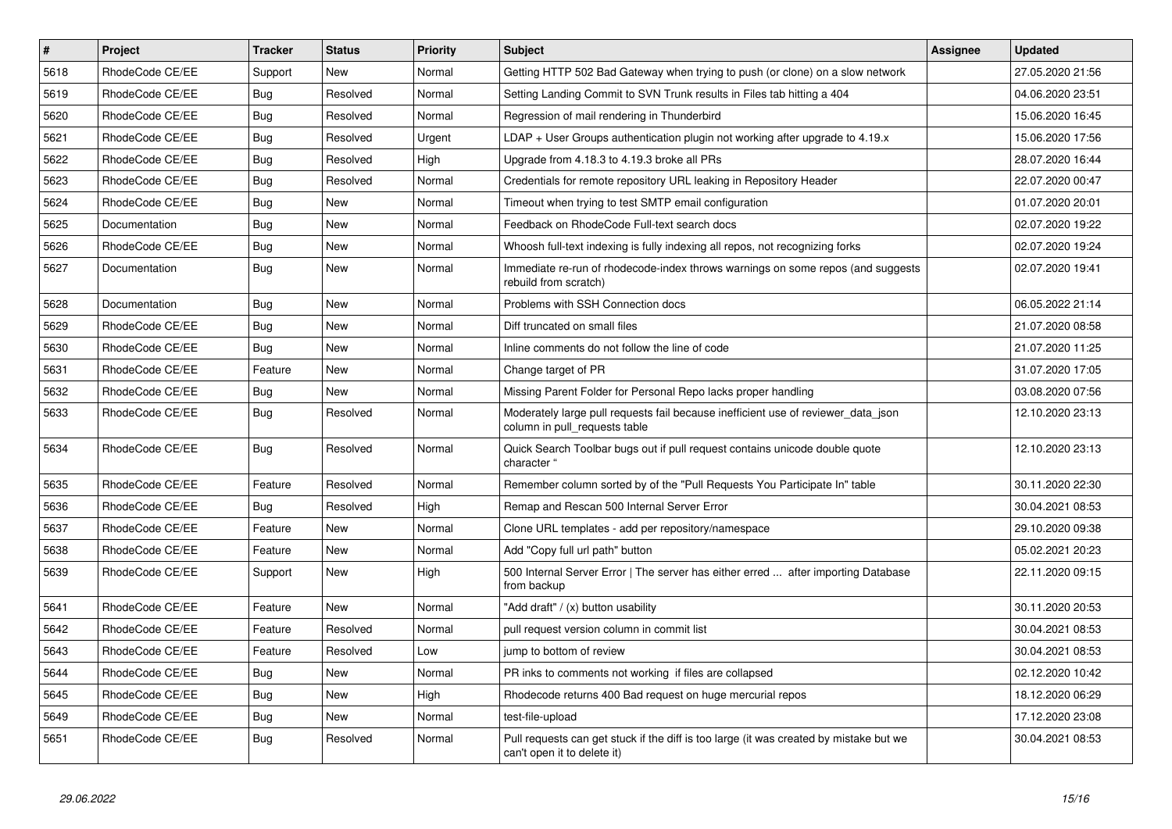| $\vert$ # | Project         | <b>Tracker</b> | <b>Status</b> | <b>Priority</b> | <b>Subject</b>                                                                                                        | Assignee | <b>Updated</b>   |
|-----------|-----------------|----------------|---------------|-----------------|-----------------------------------------------------------------------------------------------------------------------|----------|------------------|
| 5618      | RhodeCode CE/EE | Support        | <b>New</b>    | Normal          | Getting HTTP 502 Bad Gateway when trying to push (or clone) on a slow network                                         |          | 27.05.2020 21:56 |
| 5619      | RhodeCode CE/EE | Bug            | Resolved      | Normal          | Setting Landing Commit to SVN Trunk results in Files tab hitting a 404                                                |          | 04.06.2020 23:51 |
| 5620      | RhodeCode CE/EE | Bug            | Resolved      | Normal          | Regression of mail rendering in Thunderbird                                                                           |          | 15.06.2020 16:45 |
| 5621      | RhodeCode CE/EE | <b>Bug</b>     | Resolved      | Urgent          | $LDAP + User Groups$ authentication plugin not working after upgrade to 4.19. $x$                                     |          | 15.06.2020 17:56 |
| 5622      | RhodeCode CE/EE | Bug            | Resolved      | High            | Upgrade from 4.18.3 to 4.19.3 broke all PRs                                                                           |          | 28.07.2020 16:44 |
| 5623      | RhodeCode CE/EE | <b>Bug</b>     | Resolved      | Normal          | Credentials for remote repository URL leaking in Repository Header                                                    |          | 22.07.2020 00:47 |
| 5624      | RhodeCode CE/EE | Bug            | New           | Normal          | Timeout when trying to test SMTP email configuration                                                                  |          | 01.07.2020 20:01 |
| 5625      | Documentation   | <b>Bug</b>     | New           | Normal          | Feedback on RhodeCode Full-text search docs                                                                           |          | 02.07.2020 19:22 |
| 5626      | RhodeCode CE/EE | Bug            | <b>New</b>    | Normal          | Whoosh full-text indexing is fully indexing all repos, not recognizing forks                                          |          | 02.07.2020 19:24 |
| 5627      | Documentation   | Bug            | New           | Normal          | Immediate re-run of rhodecode-index throws warnings on some repos (and suggests<br>rebuild from scratch)              |          | 02.07.2020 19:41 |
| 5628      | Documentation   | Bug            | <b>New</b>    | Normal          | Problems with SSH Connection docs                                                                                     |          | 06.05.2022 21:14 |
| 5629      | RhodeCode CE/EE | <b>Bug</b>     | <b>New</b>    | Normal          | Diff truncated on small files                                                                                         |          | 21.07.2020 08:58 |
| 5630      | RhodeCode CE/EE | Bug            | New           | Normal          | Inline comments do not follow the line of code                                                                        |          | 21.07.2020 11:25 |
| 5631      | RhodeCode CE/EE | Feature        | New           | Normal          | Change target of PR                                                                                                   |          | 31.07.2020 17:05 |
| 5632      | RhodeCode CE/EE | <b>Bug</b>     | <b>New</b>    | Normal          | Missing Parent Folder for Personal Repo lacks proper handling                                                         |          | 03.08.2020 07:56 |
| 5633      | RhodeCode CE/EE | Bug            | Resolved      | Normal          | Moderately large pull requests fail because inefficient use of reviewer_data_json<br>column in pull requests table    |          | 12.10.2020 23:13 |
| 5634      | RhodeCode CE/EE | Bug            | Resolved      | Normal          | Quick Search Toolbar bugs out if pull request contains unicode double quote<br>character                              |          | 12.10.2020 23:13 |
| 5635      | RhodeCode CE/EE | Feature        | Resolved      | Normal          | Remember column sorted by of the "Pull Requests You Participate In" table                                             |          | 30.11.2020 22:30 |
| 5636      | RhodeCode CE/EE | Bug            | Resolved      | High            | Remap and Rescan 500 Internal Server Error                                                                            |          | 30.04.2021 08:53 |
| 5637      | RhodeCode CE/EE | Feature        | <b>New</b>    | Normal          | Clone URL templates - add per repository/namespace                                                                    |          | 29.10.2020 09:38 |
| 5638      | RhodeCode CE/EE | Feature        | New           | Normal          | Add "Copy full url path" button                                                                                       |          | 05.02.2021 20:23 |
| 5639      | RhodeCode CE/EE | Support        | New           | High            | 500 Internal Server Error   The server has either erred  after importing Database<br>from backup                      |          | 22.11.2020 09:15 |
| 5641      | RhodeCode CE/EE | Feature        | New           | Normal          | "Add draft" / (x) button usability                                                                                    |          | 30.11.2020 20:53 |
| 5642      | RhodeCode CE/EE | Feature        | Resolved      | Normal          | pull request version column in commit list                                                                            |          | 30.04.2021 08:53 |
| 5643      | RhodeCode CE/EE | Feature        | Resolved      | Low             | jump to bottom of review                                                                                              |          | 30.04.2021 08:53 |
| 5644      | RhodeCode CE/EE | Bug            | New           | Normal          | PR inks to comments not working if files are collapsed                                                                |          | 02.12.2020 10:42 |
| 5645      | RhodeCode CE/EE | Bug            | New           | High            | Rhodecode returns 400 Bad request on huge mercurial repos                                                             |          | 18.12.2020 06:29 |
| 5649      | RhodeCode CE/EE | Bug            | New           | Normal          | test-file-upload                                                                                                      |          | 17.12.2020 23:08 |
| 5651      | RhodeCode CE/EE | Bug            | Resolved      | Normal          | Pull requests can get stuck if the diff is too large (it was created by mistake but we<br>can't open it to delete it) |          | 30.04.2021 08:53 |